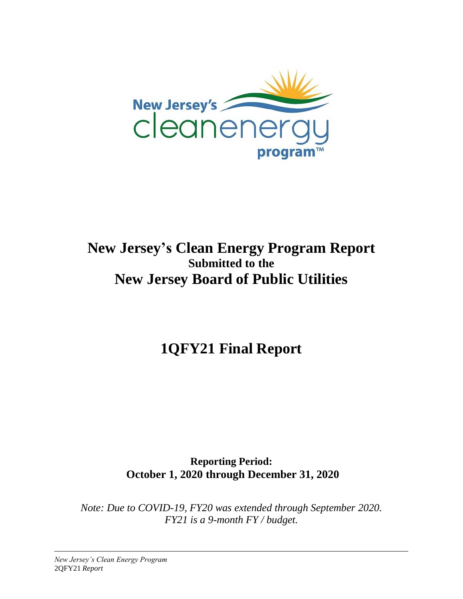

## **New Jersey's Clean Energy Program Report Submitted to the New Jersey Board of Public Utilities**

**1QFY21 Final Report**

**Reporting Period: October 1, 2020 through December 31, 2020**

*Note: Due to COVID-19, FY20 was extended through September 2020. FY21 is a 9-month FY / budget.*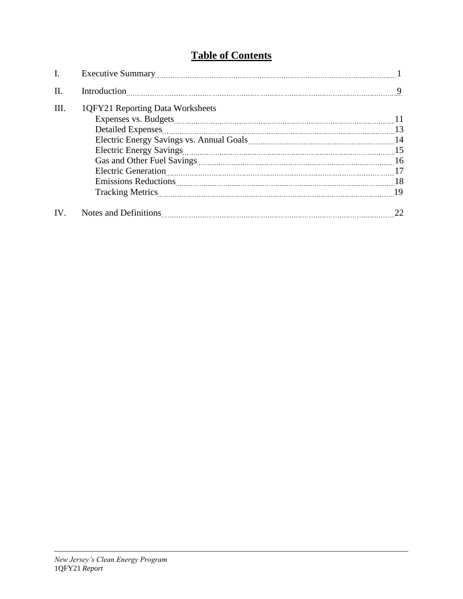### **Table of Contents**

| I.   |                                  |     |
|------|----------------------------------|-----|
| II.  | Introduction                     | 9   |
| III. | 1QFY21 Reporting Data Worksheets | -11 |
|      | <b>Detailed Expenses</b>         |     |
|      |                                  |     |
|      |                                  |     |
|      |                                  |     |
|      |                                  |     |
|      |                                  | -18 |
|      |                                  |     |
| IV.  |                                  |     |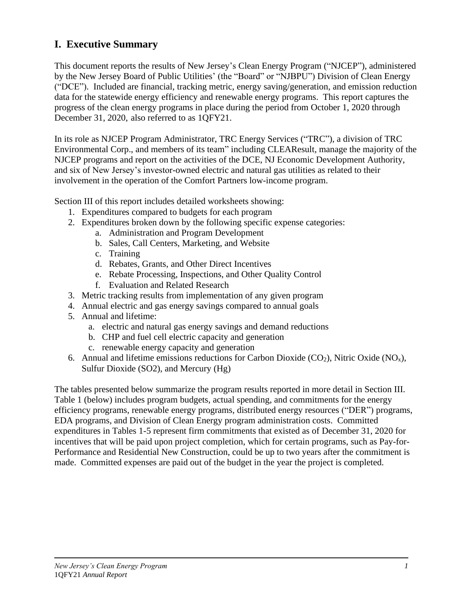### **I. Executive Summary**

This document reports the results of New Jersey's Clean Energy Program ("NJCEP"), administered by the New Jersey Board of Public Utilities' (the "Board" or "NJBPU") Division of Clean Energy ("DCE"). Included are financial, tracking metric, energy saving/generation, and emission reduction data for the statewide energy efficiency and renewable energy programs. This report captures the progress of the clean energy programs in place during the period from October 1, 2020 through December 31, 2020, also referred to as 1QFY21.

In its role as NJCEP Program Administrator, TRC Energy Services ("TRC"), a division of TRC Environmental Corp., and members of its team" including CLEAResult, manage the majority of the NJCEP programs and report on the activities of the DCE, NJ Economic Development Authority, and six of New Jersey's investor-owned electric and natural gas utilities as related to their involvement in the operation of the Comfort Partners low-income program.

Section III of this report includes detailed worksheets showing:

- 1. Expenditures compared to budgets for each program
- 2. Expenditures broken down by the following specific expense categories:
	- a. Administration and Program Development
	- b. Sales, Call Centers, Marketing, and Website
	- c. Training
	- d. Rebates, Grants, and Other Direct Incentives
	- e. Rebate Processing, Inspections, and Other Quality Control
	- f. Evaluation and Related Research
- 3. Metric tracking results from implementation of any given program
- 4. Annual electric and gas energy savings compared to annual goals
- 5. Annual and lifetime:
	- a. electric and natural gas energy savings and demand reductions
	- b. CHP and fuel cell electric capacity and generation
	- c. renewable energy capacity and generation
- 6. Annual and lifetime emissions reductions for Carbon Dioxide (CO<sub>2</sub>), Nitric Oxide (NO<sub>x</sub>), Sulfur Dioxide (SO2), and Mercury (Hg)

The tables presented below summarize the program results reported in more detail in Section III. Table 1 (below) includes program budgets, actual spending, and commitments for the energy efficiency programs, renewable energy programs, distributed energy resources ("DER") programs, EDA programs, and Division of Clean Energy program administration costs. Committed expenditures in Tables 1-5 represent firm commitments that existed as of December 31, 2020 for incentives that will be paid upon project completion, which for certain programs, such as Pay-for-Performance and Residential New Construction, could be up to two years after the commitment is made. Committed expenses are paid out of the budget in the year the project is completed.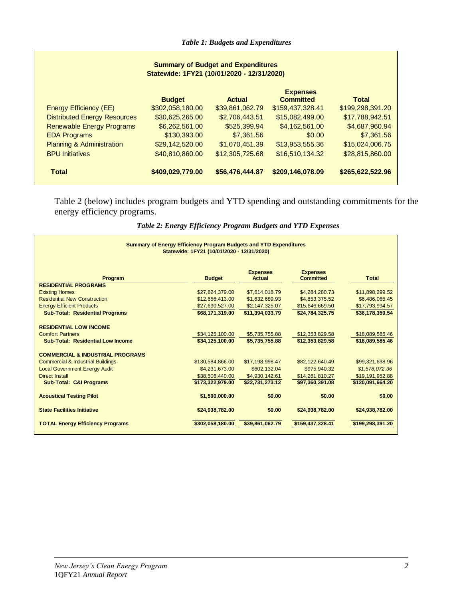| <b>Summary of Budget and Expenditures</b><br>Statewide: 1FY21 (10/01/2020 - 12/31/2020) |                  |                 |                                     |                  |
|-----------------------------------------------------------------------------------------|------------------|-----------------|-------------------------------------|------------------|
|                                                                                         | <b>Budget</b>    | <b>Actual</b>   | <b>Expenses</b><br><b>Committed</b> | <b>Total</b>     |
| <b>Energy Efficiency (EE)</b>                                                           | \$302,058,180.00 | \$39,861,062.79 | \$159,437,328.41                    | \$199,298,391.20 |
| <b>Distributed Energy Resources</b>                                                     | \$30,625,265.00  | \$2,706,443.51  | \$15,082,499.00                     | \$17,788,942.51  |
| <b>Renewable Energy Programs</b>                                                        | \$6,262,561.00   | \$525,399.94    | \$4,162,561.00                      | \$4,687,960.94   |
| <b>EDA Programs</b>                                                                     | \$130,393.00     | \$7,361.56      | \$0.00                              | \$7,361.56       |
| <b>Planning &amp; Administration</b>                                                    | \$29,142,520.00  | \$1,070,451.39  | \$13,953,555.36                     | \$15,024,006.75  |
| <b>BPU Initiatives</b>                                                                  | \$40,810,860.00  | \$12,305,725.68 | \$16,510,134.32                     | \$28,815,860.00  |
| <b>Total</b>                                                                            | \$409,029,779.00 | \$56,476,444.87 | \$209,146,078.09                    | \$265,622,522.96 |

Table 2 (below) includes program budgets and YTD spending and outstanding commitments for the energy efficiency programs.

*Table 2: Energy Efficiency Program Budgets and YTD Expenses*

| <b>Summary of Energy Efficiency Program Budgets and YTD Expenditures</b><br>Statewide: 1FY21 (10/01/2020 - 12/31/2020) |                  |                                  |                                     |                  |
|------------------------------------------------------------------------------------------------------------------------|------------------|----------------------------------|-------------------------------------|------------------|
| Program                                                                                                                | <b>Budget</b>    | <b>Expenses</b><br><b>Actual</b> | <b>Expenses</b><br><b>Committed</b> | <b>Total</b>     |
| <b>RESIDENTIAL PROGRAMS</b>                                                                                            |                  |                                  |                                     |                  |
| <b>Existing Homes</b>                                                                                                  | \$27,824,379.00  | \$7,614,018.79                   | \$4,284,280.73                      | \$11,898,299.52  |
| <b>Residential New Construction</b>                                                                                    | \$12,656,413.00  | \$1,632,689.93                   | \$4,853,375.52                      | \$6,486,065.45   |
| <b>Energy Efficient Products</b>                                                                                       | \$27,690,527.00  | \$2,147,325.07                   | \$15,646,669.50                     | \$17,793,994.57  |
| <b>Sub-Total: Residential Programs</b>                                                                                 | \$68.171.319.00  | \$11.394.033.79                  | \$24.784.325.75                     | \$36.178.359.54  |
| <b>RESIDENTIAL LOW INCOME</b><br><b>Comfort Partners</b>                                                               | \$34,125,100.00  | \$5,735,755.88                   | \$12,353,829.58                     | \$18,089,585.46  |
| <b>Sub-Total: Residential Low Income</b>                                                                               | \$34,125,100.00  | \$5,735,755.88                   | \$12,353,829.58                     | \$18,089,585.46  |
| <b>COMMERCIAL &amp; INDUSTRIAL PROGRAMS</b>                                                                            |                  |                                  |                                     |                  |
| <b>Commercial &amp; Industrial Buildings</b>                                                                           | \$130,584,866.00 | \$17,198,998.47                  | \$82,122,640.49                     | \$99,321,638.96  |
| <b>Local Government Energy Audit</b>                                                                                   | \$4,231,673.00   | \$602.132.04                     | \$975,940.32                        | \$1,578,072.36   |
| <b>Direct Install</b>                                                                                                  | \$38,506,440.00  | \$4.930.142.61                   | \$14,261,810.27                     | \$19,191,952.88  |
| <b>Sub-Total: C&amp;I Programs</b>                                                                                     | \$173,322,979.00 | \$22,731,273.12                  | \$97,360,391.08                     | \$120,091,664.20 |
| <b>Acoustical Testing Pilot</b>                                                                                        | \$1,500,000.00   | \$0.00                           | \$0.00                              | \$0.00           |
| <b>State Facilities Initiative</b>                                                                                     | \$24,938,782.00  | \$0.00                           | \$24,938,782.00                     | \$24,938,782.00  |
| <b>TOTAL Energy Efficiency Programs</b>                                                                                | \$302,058,180.00 | \$39,861,062.79                  | \$159,437,328.41                    | \$199,298,391.20 |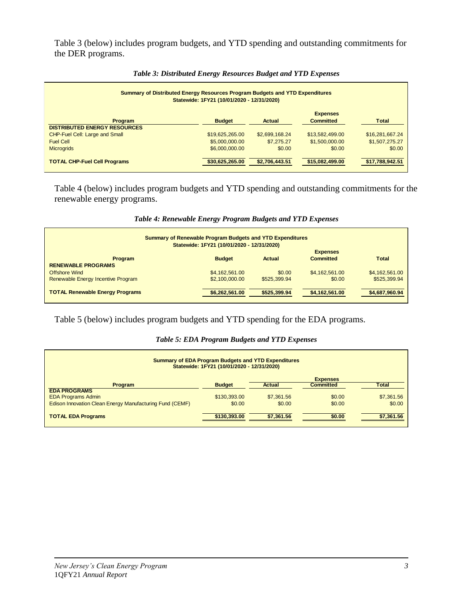Table 3 (below) includes program budgets, and YTD spending and outstanding commitments for the DER programs.

| Summary of Distributed Energy Resources Program Budgets and YTD Expenditures<br>Statewide: 1FY21 (10/01/2020 - 12/31/2020) |                 |                |                                     |                 |
|----------------------------------------------------------------------------------------------------------------------------|-----------------|----------------|-------------------------------------|-----------------|
| Program<br><b>DISTRIBUTED ENERGY RESOURCES</b>                                                                             | <b>Budget</b>   | Actual         | <b>Expenses</b><br><b>Committed</b> | <b>Total</b>    |
| CHP-Fuel Cell: Large and Small                                                                                             | \$19,625,265.00 | \$2,699,168.24 | \$13,582,499.00                     | \$16,281,667.24 |
| <b>Fuel Cell</b>                                                                                                           | \$5,000,000.00  | \$7,275,27     | \$1,500,000.00                      | \$1,507,275.27  |
| <b>Microgrids</b>                                                                                                          | \$6,000,000.00  | \$0.00         | \$0.00                              | \$0.00          |
| <b>TOTAL CHP-Fuel Cell Programs</b>                                                                                        | \$30,625,265.00 | \$2,706,443.51 | \$15,082,499.00                     | \$17,788,942.51 |

#### *Table 3: Distributed Energy Resources Budget and YTD Expenses*

Table 4 (below) includes program budgets and YTD spending and outstanding commitments for the renewable energy programs.

| <b>Summary of Renewable Program Budgets and YTD Expenditures</b>                                 | Statewide: 1FY21 (10/01/2020 - 12/31/2020) |              |                |                |
|--------------------------------------------------------------------------------------------------|--------------------------------------------|--------------|----------------|----------------|
| <b>Expenses</b><br><b>Committed</b><br><b>Budget</b><br><b>Total</b><br>Actual<br><b>Program</b> |                                            |              |                |                |
| <b>RENEWABLE PROGRAMS</b>                                                                        |                                            |              |                |                |
| <b>Offshore Wind</b>                                                                             | \$4,162,561.00                             | \$0.00       | \$4,162,561.00 | \$4,162,561.00 |
| Renewable Energy Incentive Program                                                               | \$2,100,000,00                             | \$525,399.94 | \$0.00         | \$525,399.94   |
| <b>TOTAL Renewable Energy Programs</b>                                                           | \$6,262,561.00                             | \$525,399.94 | \$4,162,561.00 | \$4,687,960.94 |

#### *Table 4: Renewable Energy Program Budgets and YTD Expenses*

#### Table 5 (below) includes program budgets and YTD spending for the EDA programs.

#### *Table 5: EDA Program Budgets and YTD Expenses*

| <b>Summary of EDA Program Budgets and YTD Expenditures</b><br>Statewide: 1FY21 (10/01/2020 - 12/31/2020) |               |            |                  |              |
|----------------------------------------------------------------------------------------------------------|---------------|------------|------------------|--------------|
|                                                                                                          |               |            | <b>Expenses</b>  |              |
| <b>Program</b>                                                                                           | <b>Budget</b> | Actual     | <b>Committed</b> | <b>Total</b> |
| <b>EDA PROGRAMS</b>                                                                                      |               |            |                  |              |
| <b>EDA Programs Admin</b>                                                                                | \$130,393,00  | \$7,361.56 | \$0.00           | \$7,361.56   |
| Edison Innovation Clean Energy Manufacturing Fund (CEMF)                                                 | \$0.00        | \$0.00     | \$0.00           | \$0.00       |
| <b>TOTAL EDA Programs</b>                                                                                | \$130,393,00  | \$7,361.56 | \$0.00           | \$7,361.56   |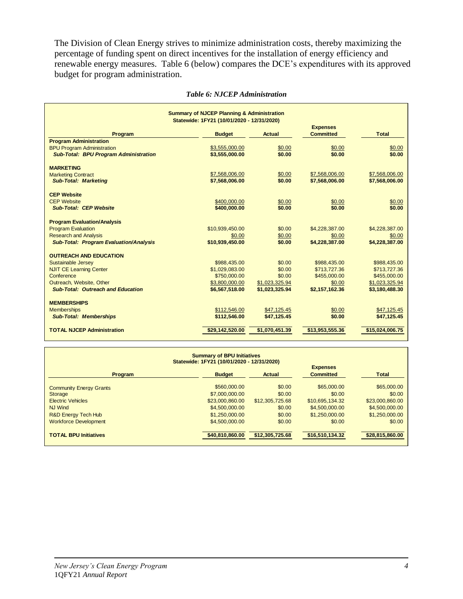The Division of Clean Energy strives to minimize administration costs, thereby maximizing the percentage of funding spent on direct incentives for the installation of energy efficiency and renewable energy measures. Table 6 (below) compares the DCE's expenditures with its approved budget for program administration.

|                                               | <b>Summary of NJCEP Planning &amp; Administration</b> |                |                              |                              |
|-----------------------------------------------|-------------------------------------------------------|----------------|------------------------------|------------------------------|
|                                               | Statewide: 1FY21 (10/01/2020 - 12/31/2020)            |                | <b>Expenses</b>              |                              |
| Program                                       | <b>Budget</b>                                         | <b>Actual</b>  | <b>Committed</b>             | Total                        |
| <b>Program Administration</b>                 |                                                       |                |                              |                              |
| <b>BPU Program Administration</b>             | \$3,555,000.00                                        | \$0.00         | \$0.00                       | \$0.00                       |
| <b>Sub-Total: BPU Program Administration</b>  | \$3,555,000.00                                        | \$0.00         | \$0.00                       | \$0.00                       |
| <b>MARKETING</b>                              |                                                       |                |                              |                              |
| <b>Marketing Contract</b>                     | \$7,568,006.00                                        | \$0.00         | \$7,568,006.00               | \$7,568,006.00               |
| <b>Sub-Total: Marketing</b>                   | \$7,568,006.00                                        | \$0.00         | \$7,568,006.00               | \$7,568,006.00               |
| <b>CEP Website</b>                            |                                                       |                |                              |                              |
| <b>CEP Website</b>                            | \$400,000.00                                          | \$0.00         | \$0.00                       | \$0.00                       |
| <b>Sub-Total: CEP Website</b>                 | \$400,000,00                                          | \$0.00         | \$0.00                       | \$0.00                       |
| <b>Program Evaluation/Analysis</b>            |                                                       |                |                              |                              |
| <b>Program Evaluation</b>                     | \$10.939.450.00                                       | \$0.00         | \$4,228,387.00               | \$4,228,387.00               |
| <b>Research and Analysis</b>                  | \$0.00                                                | \$0.00         | \$0.00                       | \$0.00                       |
| <b>Sub-Total: Program Evaluation/Analysis</b> | \$10,939,450.00                                       | \$0.00         | \$4,228,387.00               | \$4,228,387.00               |
| <b>OUTREACH AND EDUCATION</b>                 |                                                       |                |                              |                              |
| Sustainable Jersey                            | \$988.435.00                                          | \$0.00         |                              |                              |
| <b>NJIT CE Learning Center</b>                | \$1,029,083.00                                        | \$0.00         | \$988,435.00<br>\$713,727.36 | \$988,435.00<br>\$713,727.36 |
| Conference                                    | \$750,000.00                                          | \$0.00         | \$455,000.00                 | \$455,000.00                 |
| Outreach, Website, Other                      | \$3,800,000.00                                        | \$1,023,325.94 | \$0.00                       | \$1,023,325.94               |
| <b>Sub-Total: Outreach and Education</b>      | \$6,567,518.00                                        | \$1,023,325.94 | \$2,157,162.36               | \$3,180,488.30               |
|                                               |                                                       |                |                              |                              |
| <b>MEMBERSHIPS</b>                            |                                                       |                |                              |                              |
| <b>Memberships</b>                            | \$112,546.00                                          | \$47.125.45    | \$0.00                       | \$47.125.45                  |
| <b>Sub-Total: Memberships</b>                 | \$112,546,00                                          | \$47,125.45    | \$0.00                       | \$47,125.45                  |
| <b>TOTAL NJCEP Administration</b>             | \$29,142,520.00                                       | \$1,070,451.39 | \$13,953,555.36              | \$15,024,006.75              |

#### *Table 6: NJCEP Administration*

| <b>Summary of BPU Initiatives</b><br>Statewide: 1FY21 (10/01/2020 - 12/31/2020) |                 |                 |                                     |                 |  |
|---------------------------------------------------------------------------------|-----------------|-----------------|-------------------------------------|-----------------|--|
| <b>Program</b>                                                                  | <b>Budget</b>   | Actual          | <b>Expenses</b><br><b>Committed</b> | <b>Total</b>    |  |
| <b>Community Energy Grants</b>                                                  | \$560,000,00    | \$0.00          | \$65,000.00                         | \$65,000.00     |  |
| <b>Storage</b>                                                                  | \$7,000,000.00  | \$0.00          | \$0.00                              | \$0.00          |  |
| <b>Electric Vehicles</b>                                                        | \$23,000,860,00 | \$12,305,725.68 | \$10,695,134.32                     | \$23,000,860.00 |  |
| NJ Wind                                                                         | \$4,500,000,00  | \$0.00          | \$4,500,000,00                      | \$4,500,000.00  |  |
| R&D Energy Tech Hub                                                             | \$1,250,000.00  | \$0.00          | \$1,250,000,00                      | \$1,250,000.00  |  |
| <b>Workforce Development</b>                                                    | \$4,500,000.00  | \$0.00          | \$0.00                              | \$0.00          |  |
| <b>TOTAL BPU Initiatives</b>                                                    | \$40.810.860.00 | \$12,305,725.68 | \$16,510,134.32                     | \$28,815,860.00 |  |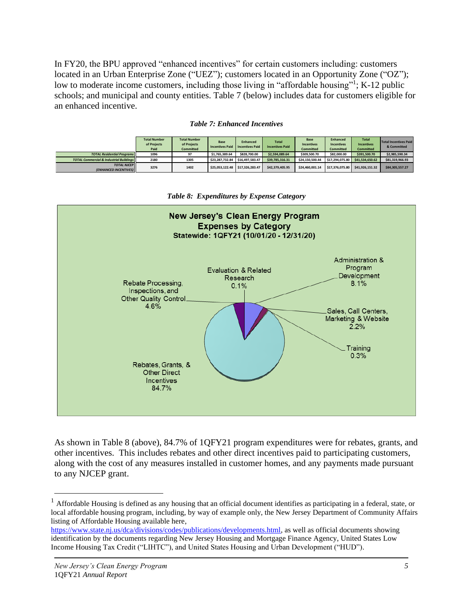In FY20, the BPU approved "enhanced incentives" for certain customers including: customers located in an Urban Enterprise Zone ("UEZ"); customers located in an Opportunity Zone ("OZ"); low to moderate income customers, including those living in "affordable housing"<sup>1</sup>; K-12 public schools; and municipal and county entities. Table 7 (below) includes data for customers eligible for an enhanced incentive.

|                                                       | <b>Total Number</b><br>of Projects<br>Paid | <b>Total Number</b><br>of Projects<br><b>Committed</b> | Base<br><b>Incentives Paid</b> | <b>Enhanced</b><br><b>Incentives Paid</b> | <b>Total</b><br><b>Incentives Paid</b> | Base<br><b>Incentives</b><br><b>Committed</b> | <b>Enhanced</b><br><b>Incentives</b><br><b>Committed</b> | <b>Total</b><br><b>Incentives</b><br><b>Committed</b> | Total Incentives Paid<br>& Committed |
|-------------------------------------------------------|--------------------------------------------|--------------------------------------------------------|--------------------------------|-------------------------------------------|----------------------------------------|-----------------------------------------------|----------------------------------------------------------|-------------------------------------------------------|--------------------------------------|
| <b>TOTAL Residential Programs</b>                     | 1096                                       | 97                                                     | \$1,765,389.64                 | \$828,700.00                              | \$2,594,089.64                         | \$309,500.70                                  | \$82,000.00                                              | \$391,500.70                                          | \$2,985,590.34                       |
| <b>TOTAL Commercial &amp; Industrial Buildings II</b> | 2180                                       | 1305                                                   | \$23,287,732.84                | \$16,497,583.47                           | \$39,785,316.31                        | \$24,150,500.44                               | \$17,294,075.80                                          | \$41,534,650,62                                       | \$81,319,966.93                      |
| <b>TOTAL NJCEP</b><br><b>(ENHANCED INCENTIVES)</b>    | 3276                                       | 1402                                                   | \$25.053.122.48                | \$17,326,283.47                           | \$42,379,405.95                        | \$24,460,001.14                               | \$17,376,075.80                                          | \$41,926,151,32                                       | \$84,305,557.27                      |





*Table 8: Expenditures by Expense Category*

As shown in Table 8 (above), 84.7% of 1QFY21 program expenditures were for rebates, grants, and other incentives. This includes rebates and other direct incentives paid to participating customers, along with the cost of any measures installed in customer homes, and any payments made pursuant to any NJCEP grant.

 $<sup>1</sup>$  Affordable Housing is defined as any housing that an official document identifies as participating in a federal, state, or</sup> local affordable housing program, including, by way of example only, the New Jersey Department of Community Affairs listing of Affordable Housing available here,

[https://www.state.nj.us/dca/divisions/codes/publications/developments.html,](https://www.state.nj.us/dca/divisions/codes/publications/developments.html) as well as official documents showing identification by the documents regarding New Jersey Housing and Mortgage Finance Agency, United States Low Income Housing Tax Credit ("LIHTC"), and United States Housing and Urban Development ("HUD").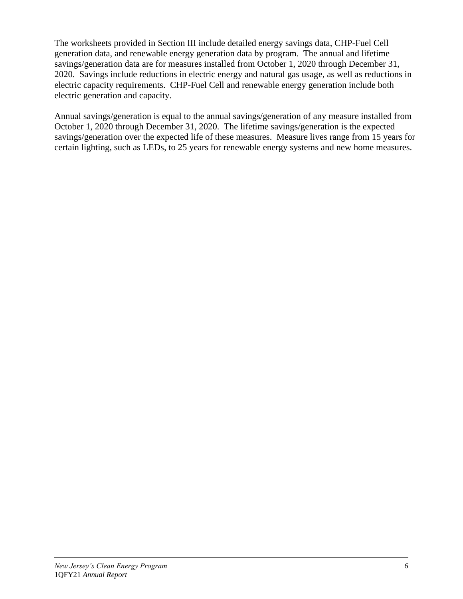The worksheets provided in Section III include detailed energy savings data, CHP-Fuel Cell generation data, and renewable energy generation data by program. The annual and lifetime savings/generation data are for measures installed from October 1, 2020 through December 31, 2020. Savings include reductions in electric energy and natural gas usage, as well as reductions in electric capacity requirements. CHP-Fuel Cell and renewable energy generation include both electric generation and capacity.

Annual savings/generation is equal to the annual savings/generation of any measure installed from October 1, 2020 through December 31, 2020. The lifetime savings/generation is the expected savings/generation over the expected life of these measures. Measure lives range from 15 years for certain lighting, such as LEDs, to 25 years for renewable energy systems and new home measures.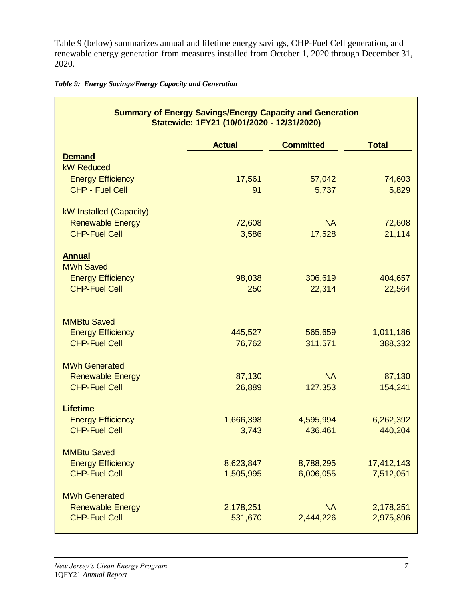Table 9 (below) summarizes annual and lifetime energy savings, CHP-Fuel Cell generation, and renewable energy generation from measures installed from October 1, 2020 through December 31, 2020.

|  |  | Table 9: Energy Savings/Energy Capacity and Generation |  |  |
|--|--|--------------------------------------------------------|--|--|
|--|--|--------------------------------------------------------|--|--|

|                                              | <b>Summary of Energy Savings/Energy Capacity and Generation</b><br>Statewide: 1FY21 (10/01/2020 - 12/31/2020) |                  |              |
|----------------------------------------------|---------------------------------------------------------------------------------------------------------------|------------------|--------------|
|                                              | <b>Actual</b>                                                                                                 | <b>Committed</b> | <b>Total</b> |
| <b>Demand</b><br><b>kW Reduced</b>           |                                                                                                               |                  |              |
| <b>Energy Efficiency</b>                     | 17,561                                                                                                        | 57,042           | 74,603       |
| CHP - Fuel Cell                              | 91                                                                                                            | 5,737            | 5,829        |
| kW Installed (Capacity)                      |                                                                                                               |                  |              |
| <b>Renewable Energy</b>                      | 72,608                                                                                                        | <b>NA</b>        | 72,608       |
| <b>CHP-Fuel Cell</b>                         | 3,586                                                                                                         | 17,528           | 21,114       |
| <b>Annual</b>                                |                                                                                                               |                  |              |
| <b>MWh Saved</b><br><b>Energy Efficiency</b> | 98,038                                                                                                        | 306,619          | 404,657      |
| <b>CHP-Fuel Cell</b>                         | 250                                                                                                           | 22,314           | 22,564       |
|                                              |                                                                                                               |                  |              |
| <b>MMBtu Saved</b>                           |                                                                                                               |                  |              |
| <b>Energy Efficiency</b>                     | 445,527                                                                                                       | 565,659          | 1,011,186    |
| <b>CHP-Fuel Cell</b>                         | 76,762                                                                                                        | 311,571          | 388,332      |
| <b>MWh Generated</b>                         |                                                                                                               |                  |              |
| <b>Renewable Energy</b>                      | 87,130                                                                                                        | <b>NA</b>        | 87,130       |
| <b>CHP-Fuel Cell</b>                         | 26,889                                                                                                        | 127,353          | 154,241      |
| <b>Lifetime</b>                              |                                                                                                               |                  |              |
| <b>Energy Efficiency</b>                     | 1,666,398                                                                                                     | 4,595,994        | 6,262,392    |
| <b>CHP-Fuel Cell</b>                         | 3,743                                                                                                         | 436,461          | 440,204      |
| <b>MMBtu Saved</b>                           |                                                                                                               |                  |              |
| <b>Energy Efficiency</b>                     | 8,623,847                                                                                                     | 8,788,295        | 17,412,143   |
| <b>CHP-Fuel Cell</b>                         | 1,505,995                                                                                                     | 6,006,055        | 7,512,051    |
| <b>MWh Generated</b>                         |                                                                                                               |                  |              |
| <b>Renewable Energy</b>                      | 2,178,251                                                                                                     | <b>NA</b>        | 2,178,251    |
| <b>CHP-Fuel Cell</b>                         | 531,670                                                                                                       | 2,444,226        | 2,975,896    |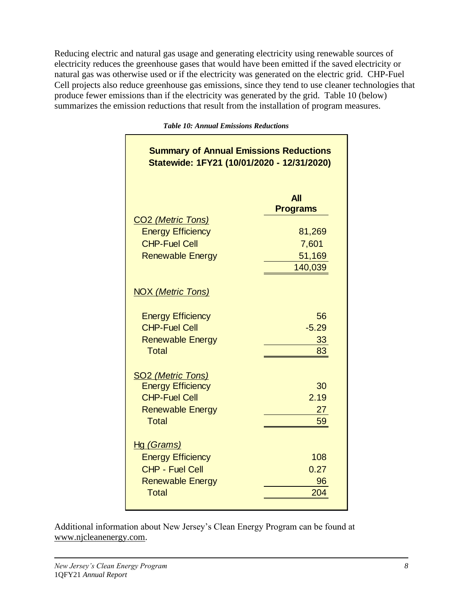Reducing electric and natural gas usage and generating electricity using renewable sources of electricity reduces the greenhouse gases that would have been emitted if the saved electricity or natural gas was otherwise used or if the electricity was generated on the electric grid. CHP-Fuel Cell projects also reduce greenhouse gas emissions, since they tend to use cleaner technologies that produce fewer emissions than if the electricity was generated by the grid. Table 10 (below) summarizes the emission reductions that result from the installation of program measures.

| <b>Summary of Annual Emissions Reductions</b><br>Statewide: 1FY21 (10/01/2020 - 12/31/2020)                             |                               |  |  |  |
|-------------------------------------------------------------------------------------------------------------------------|-------------------------------|--|--|--|
| CO <sub>2</sub> (Metric Tons)                                                                                           | <b>All</b><br><b>Programs</b> |  |  |  |
| <b>Energy Efficiency</b>                                                                                                | 81,269                        |  |  |  |
| <b>CHP-Fuel Cell</b>                                                                                                    | 7,601                         |  |  |  |
| <b>Renewable Energy</b>                                                                                                 | 51,169<br>140,039             |  |  |  |
| <b>NOX (Metric Tons)</b><br><b>Energy Efficiency</b><br><b>CHP-Fuel Cell</b><br><b>Renewable Energy</b><br><b>Total</b> | 56<br>$-5.29$<br>33<br>83     |  |  |  |
| <b>SO2 (Metric Tons)</b><br><b>Energy Efficiency</b><br><b>CHP-Fuel Cell</b><br><b>Renewable Energy</b><br><b>Total</b> | 30<br>2.19<br>27<br>59        |  |  |  |
| <u>Hg (Grams)</u><br><b>Energy Efficiency</b><br><b>CHP - Fuel Cell</b><br><b>Renewable Energy</b><br><b>Total</b>      | 108<br>0.27<br>96<br>204      |  |  |  |

*Table 10: Annual Emissions Reductions*

Additional information about New Jersey's Clean Energy Program can be found at [www.njcleanenergy.com.](http://www.njcleanenergy.com/)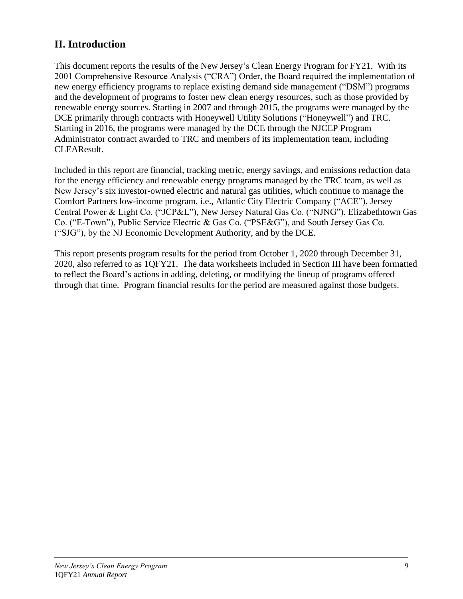### **II. Introduction**

This document reports the results of the New Jersey's Clean Energy Program for FY21. With its 2001 Comprehensive Resource Analysis ("CRA") Order, the Board required the implementation of new energy efficiency programs to replace existing demand side management ("DSM") programs and the development of programs to foster new clean energy resources, such as those provided by renewable energy sources. Starting in 2007 and through 2015, the programs were managed by the DCE primarily through contracts with Honeywell Utility Solutions ("Honeywell") and TRC. Starting in 2016, the programs were managed by the DCE through the NJCEP Program Administrator contract awarded to TRC and members of its implementation team, including CLEAResult.

Included in this report are financial, tracking metric, energy savings, and emissions reduction data for the energy efficiency and renewable energy programs managed by the TRC team, as well as New Jersey's six investor-owned electric and natural gas utilities, which continue to manage the Comfort Partners low-income program, i.e., Atlantic City Electric Company ("ACE"), Jersey Central Power & Light Co. ("JCP&L"), New Jersey Natural Gas Co. ("NJNG"), Elizabethtown Gas Co. ("E-Town"), Public Service Electric & Gas Co. ("PSE&G"), and South Jersey Gas Co. ("SJG"), by the NJ Economic Development Authority, and by the DCE.

This report presents program results for the period from October 1, 2020 through December 31, 2020, also referred to as 1QFY21. The data worksheets included in Section III have been formatted to reflect the Board's actions in adding, deleting, or modifying the lineup of programs offered through that time. Program financial results for the period are measured against those budgets.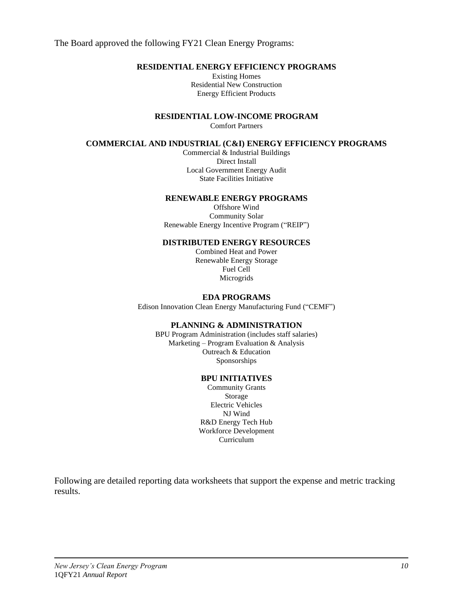The Board approved the following FY21 Clean Energy Programs:

#### **RESIDENTIAL ENERGY EFFICIENCY PROGRAMS**

Existing Homes Residential New Construction Energy Efficient Products

**RESIDENTIAL LOW-INCOME PROGRAM**

Comfort Partners

#### **COMMERCIAL AND INDUSTRIAL (C&I) ENERGY EFFICIENCY PROGRAMS**

Commercial & Industrial Buildings Direct Install Local Government Energy Audit State Facilities Initiative

#### **RENEWABLE ENERGY PROGRAMS**

Offshore Wind Community Solar Renewable Energy Incentive Program ("REIP")

#### **DISTRIBUTED ENERGY RESOURCES**

Combined Heat and Power Renewable Energy Storage Fuel Cell **Microgrids** 

#### **EDA PROGRAMS**

Edison Innovation Clean Energy Manufacturing Fund ("CEMF")

#### **PLANNING & ADMINISTRATION**

BPU Program Administration (includes staff salaries) Marketing – Program Evaluation & Analysis Outreach & Education Sponsorships

#### **BPU INITIATIVES**

Community Grants Storage Electric Vehicles NJ Wind R&D Energy Tech Hub Workforce Development Curriculum

Following are detailed reporting data worksheets that support the expense and metric tracking results.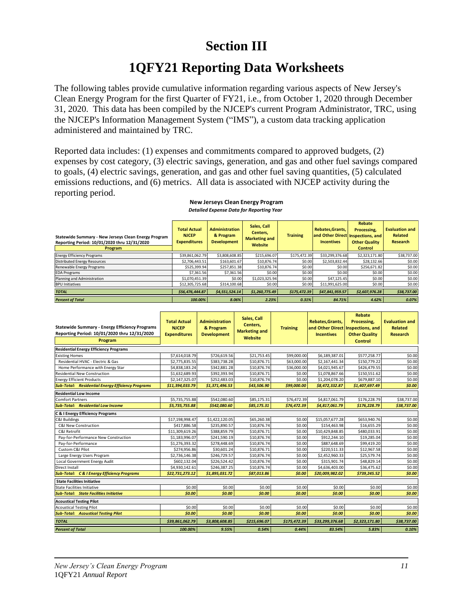## **Section III**

## **1QFY21 Reporting Data Worksheets**

The following tables provide cumulative information regarding various aspects of New Jersey's Clean Energy Program for the first Quarter of FY21, i.e., from October 1, 2020 through December 31, 2020. This data has been compiled by the NJCEP's current Program Administrator, TRC, using the NJCEP's Information Management System ("IMS"), a custom data tracking application administered and maintained by TRC.

Reported data includes: (1) expenses and commitments compared to approved budgets, (2) expenses by cost category, (3) electric savings, generation, and gas and other fuel savings compared to goals, (4) electric savings, generation, and gas and other fuel saving quantities, (5) calculated emissions reductions, and (6) metrics. All data is associated with NJCEP activity during the reporting period.

| Statewide Summary - New Jerseys Clean Energy Program<br>Reporting Period: 10/01/2020 thru 12/31/2020<br>Program | <b>Total Actual</b><br><b>NJCEP</b><br><b>Expenditures</b> | <b>Administration</b><br>& Program<br><b>Development</b> | Sales, Call<br>Centers,<br><b>Marketing and</b><br>Website | <b>Training</b> | Rebates.Grants.<br><b>Incentives</b> | Rebate<br>Processing.<br>and Other Direct Inspections, and<br><b>Other Quality</b><br><b>Control</b> | <b>Evaluation and</b><br><b>Related</b><br>Research |
|-----------------------------------------------------------------------------------------------------------------|------------------------------------------------------------|----------------------------------------------------------|------------------------------------------------------------|-----------------|--------------------------------------|------------------------------------------------------------------------------------------------------|-----------------------------------------------------|
| <b>Energy Efficiency Programs</b>                                                                               | \$39,861,062.79                                            | \$3,808,608.85                                           | \$215.696.07                                               | \$175,472.39    | \$33,299,376.68                      | \$2,323,171.80                                                                                       | \$38,737.00                                         |
| Distributed Energy Resources                                                                                    | \$2,706,443.51                                             | \$163,601.67                                             | \$10,876.74                                                | \$0.00          | \$2,503,832.44                       | \$28,132.66                                                                                          | \$0.00                                              |
| Renewable Energy Programs                                                                                       | \$525,399.94                                               | \$257,851.38                                             | \$10,876.74                                                | \$0.00          | \$0.00                               | \$256,671.82                                                                                         | \$0.00                                              |
| <b>EDA Programs</b>                                                                                             | \$7.361.56                                                 | \$7,361.56                                               | \$0.00                                                     | \$0.00          | \$0.00                               | \$0.00                                                                                               | \$0.00                                              |
| Planning and Administration                                                                                     | \$1,070,451.39                                             | \$0.00                                                   | \$1,023,325.94                                             | \$0.00          | \$47.125.45                          | \$0.00                                                                                               | \$0.00                                              |
| <b>BPU Initiatives</b>                                                                                          | \$12,305,725.68                                            | \$314,100.68                                             | \$0.00                                                     | \$0.00          | \$11,991,625.00                      | \$0.00                                                                                               | \$0.00                                              |
| <b>TOTAL</b>                                                                                                    | \$56.476.444.87                                            | \$4,551,524.14                                           | \$1,260,775.49                                             | \$175.472.39    | \$47,841,959.57                      | \$2,607,976.28                                                                                       | \$38,737.00                                         |
| <b>Percent of Total</b>                                                                                         | 100.00%                                                    | 8.06%                                                    | 2.23%                                                      | 0.31%           | 84.71%                               | 4.62%                                                                                                | 0.07%                                               |

#### **New Jerseys Clean Energy Program** *Detailed Expense Data for Reporting Year*

| <b>Statewide Summary - Energy Efficiency Programs</b><br>Reporting Period: 10/01/2020 thru 12/31/2020<br>Program | <b>Total Actual</b><br><b>NJCEP</b><br><b>Expenditures</b> | <b>Administration</b><br>& Program<br><b>Development</b> | Sales, Call<br>Centers,<br><b>Marketing and</b><br><b>Website</b> | <b>Training</b> | Rebates, Grants,<br>and Other Direct<br><b>Incentives</b> | <b>Rebate</b><br>Processing,<br>Inspections, and<br><b>Other Quality</b><br>Control | <b>Evaluation and</b><br><b>Related</b><br><b>Research</b> |
|------------------------------------------------------------------------------------------------------------------|------------------------------------------------------------|----------------------------------------------------------|-------------------------------------------------------------------|-----------------|-----------------------------------------------------------|-------------------------------------------------------------------------------------|------------------------------------------------------------|
| <b>Residential Energy Efficiency Programs</b>                                                                    |                                                            |                                                          |                                                                   |                 |                                                           |                                                                                     |                                                            |
| <b>Existing Homes</b>                                                                                            | \$7,614,018.79                                             | \$726,619.56                                             | \$21,753.45                                                       | \$99,000.00     | \$6,189,387.01                                            | \$577,258.77                                                                        | \$0.00                                                     |
| Residential HVAC - Electric & Gas                                                                                | \$2,775,835.55                                             | \$383,738.28                                             | \$10,876.71                                                       | \$63,000.00     | \$2,167,441.34                                            | \$150,779.22                                                                        | \$0.00                                                     |
| Home Performance with Energy Star                                                                                | \$4,838,183.24                                             | \$342,881.28                                             | \$10,876.74                                                       | \$36,000.00     | \$4,021,945.67                                            | \$426,479.55                                                                        | \$0.00                                                     |
| <b>Residential New Construction</b>                                                                              | \$1,632,689.93                                             | \$392,393.94                                             | \$10,876.71                                                       | \$0.00          | \$1,078,867.66                                            | \$150,551.62                                                                        | \$0.00                                                     |
| <b>Energy Efficient Products</b>                                                                                 | \$2,147,325.07                                             | \$252,483.03                                             | \$10,876.74                                                       | \$0.00          | \$1,204,078.20                                            | \$679,887.10                                                                        | \$0.00                                                     |
| <b>Sub-Total: Residential Energy Efficiency Programs</b>                                                         | \$11,394,033.79                                            | \$1,371,496.53                                           | \$43,506.90                                                       | \$99,000.00     | \$8,472,332.87                                            | \$1,407,697.49                                                                      | \$0.00                                                     |
| <b>Residential Low Income</b>                                                                                    |                                                            |                                                          |                                                                   |                 |                                                           |                                                                                     |                                                            |
| <b>Comfort Partners</b>                                                                                          | \$5,735,755.88                                             | \$542,080.60                                             | \$85,175.31                                                       | \$76,472.39     | \$4,817,061.79                                            | \$176,228.79                                                                        | \$38,737.00                                                |
| <b>Sub-Total: Residential Low Income</b>                                                                         | \$5,735,755.88                                             | \$542,080.60                                             | \$85,175.31                                                       | \$76,472.39     | \$4,817,061.79                                            | \$176,228.79                                                                        | \$38,737.00                                                |
| C & I Energy Efficiency Programs                                                                                 |                                                            |                                                          |                                                                   |                 |                                                           |                                                                                     |                                                            |
| <b>C&amp;I Buildings</b>                                                                                         | \$17,198,998.47                                            | \$1,422,120.05                                           | \$65,260.38                                                       | \$0.00          | \$15,057,677.28                                           | \$653,940.76                                                                        | \$0.00                                                     |
| C&I New Construction                                                                                             | \$417.886.58                                               | \$235,890.57                                             | \$10,876.74                                                       | \$0.00          | \$154.463.98                                              | \$16,655.29                                                                         | \$0.00                                                     |
| C&I Retrofit                                                                                                     | \$11,309,619.26                                            | \$388,859.79                                             | \$10,876.71                                                       | \$0.00          | \$10,429,848.85                                           | \$480,033.91                                                                        | \$0.00                                                     |
| Pay-for-Performance New Construction                                                                             | \$1,183,996.07                                             | \$241,590.19                                             | \$10,876.74                                                       | \$0.00          | \$912,244.10                                              | \$19,285.04                                                                         | \$0.00                                                     |
| Pay-for-Performance                                                                                              | \$1.276.393.32                                             | \$278,448.69                                             | \$10,876.74                                                       | \$0.00          | \$887.648.69                                              | \$99.419.20                                                                         | \$0.00                                                     |
| Custom C&I Pilot                                                                                                 | \$274,956.86                                               | \$30,601.24                                              | \$10,876.71                                                       | \$0.00          | \$220,511.33                                              | \$12,967.58                                                                         | \$0.00                                                     |
| Large Energy Users Program                                                                                       | \$2,736,146.38                                             | \$246,729.57                                             | \$10,876.74                                                       | \$0.00          | \$2,452,960.33                                            | \$25,579.74                                                                         | \$0.00                                                     |
| Local Government Energy Audit                                                                                    | \$602.132.04                                               | \$226.524.42                                             | \$10,876.74                                                       | \$0.00          | \$315,901.74                                              | \$48.829.14                                                                         | \$0.00                                                     |
| Direct Install                                                                                                   | \$4,930,142.61                                             | \$246,387.25                                             | \$10,876.74                                                       | \$0.00          | \$4,636,403.00                                            | \$36,475.62                                                                         | \$0.00                                                     |
| <b>Sub-Total: C &amp; I Energy Efficiency Programs</b>                                                           | \$22,731,273.12                                            | \$1,895,031.72                                           | \$87,013.86                                                       | \$0.00          | \$20,009,982.02                                           | \$739,245.52                                                                        | \$0.00                                                     |
| <b>State Facilities Initiative</b>                                                                               |                                                            |                                                          |                                                                   |                 |                                                           |                                                                                     |                                                            |
| State Facilities Initiative                                                                                      | \$0.00                                                     | \$0.00                                                   | \$0.00                                                            | \$0.00          | \$0.00                                                    | \$0.00                                                                              | \$0.00                                                     |
| <b>Sub-Total: State Facilities Initiative</b>                                                                    | \$0.00                                                     | \$0.00                                                   | \$0.00                                                            | \$0.00          | \$0.00                                                    | \$0.00                                                                              | \$0.00                                                     |
| <b>Acoustical Testing Pilot</b>                                                                                  |                                                            |                                                          |                                                                   |                 |                                                           |                                                                                     |                                                            |
| <b>Acoustical Testing Pilot</b>                                                                                  | \$0.00                                                     | \$0.00                                                   | \$0.00                                                            | \$0.00          | \$0.00                                                    | \$0.00                                                                              | \$0.00                                                     |
| <b>Sub-Total: Acoustical Testing Pilot</b>                                                                       | \$0.00                                                     | \$0.00                                                   | \$0.00                                                            | \$0.00          | \$0.00                                                    | \$0.00                                                                              | \$0.00                                                     |
| <b>TOTAL</b>                                                                                                     | \$39,861,062.79                                            | \$3,808,608.85                                           | \$215,696.07                                                      | \$175,472.39    | \$33,299,376.68                                           | \$2,323,171.80                                                                      | \$38,737.00                                                |
| <b>Percent of Total</b>                                                                                          | 100.00%                                                    | 9.55%                                                    | 0.54%                                                             | 0.44%           | 83.54%                                                    | 5.83%                                                                               | 0.10%                                                      |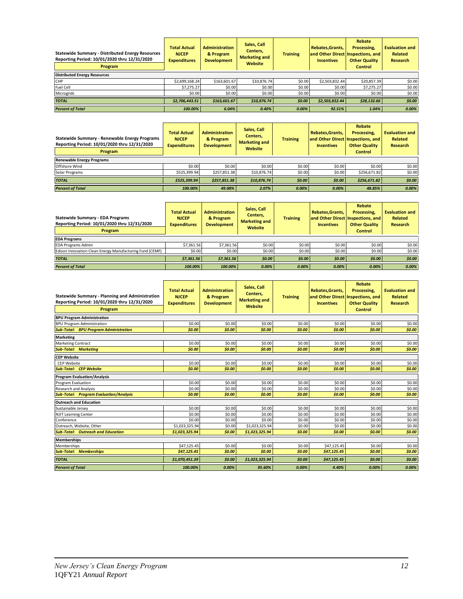| <b>Statewide Summary - Distributed Energy Resources</b><br>Reporting Period: 10/01/2020 thru 12/31/2020<br>Program | <b>Total Actual</b><br><b>NJCEP</b><br><b>Expenditures</b> | <b>Administration</b><br>& Program<br><b>Development</b> | Sales, Call<br>Centers.<br><b>Marketing and</b><br>Website | <b>Training</b> | Rebates, Grants,<br><b>Incentives</b> | Rebate<br>Processing.<br>and Other Direct Inspections, and<br><b>Other Quality</b><br><b>Control</b> | <b>Evaluation and</b><br>Related<br><b>Research</b> |
|--------------------------------------------------------------------------------------------------------------------|------------------------------------------------------------|----------------------------------------------------------|------------------------------------------------------------|-----------------|---------------------------------------|------------------------------------------------------------------------------------------------------|-----------------------------------------------------|
| <b>Distributed Energy Resources</b>                                                                                |                                                            |                                                          |                                                            |                 |                                       |                                                                                                      |                                                     |
| <b>CHP</b>                                                                                                         | \$2,699,168.24                                             | \$163,601.67                                             | \$10,876.74                                                | \$0.00          | \$2,503,832.44                        | \$20,857.39                                                                                          | \$0.00                                              |
| <b>Fuel Cell</b>                                                                                                   | \$7.275.27                                                 | \$0.00                                                   | \$0.00                                                     | \$0.00          | \$0.00                                | \$7,275.27                                                                                           | \$0.00                                              |
| Microgrids                                                                                                         | \$0.00                                                     | \$0.00                                                   | \$0.00                                                     | \$0.00          | \$0.00                                | \$0.00                                                                                               | \$0.00                                              |
| <b>TOTAL</b>                                                                                                       | \$2,706,443.51                                             | \$163,601.67                                             | \$10,876.74                                                | \$0.00          | \$2,503,832.44                        | \$28,132.66                                                                                          | \$0.00                                              |
| <b>Percent of Total</b>                                                                                            | 100.00%                                                    | 6.04%                                                    | 0.40%                                                      | 0.00%           | 92.51%                                | 1.04%                                                                                                | 0.00%                                               |

| Statewide Summary - Renewable Energy Programs<br>Reporting Period: 10/01/2020 thru 12/31/2020<br>Program | <b>Total Actual</b><br><b>NJCEP</b><br><b>Expenditures</b> | <b>Administration</b><br>& Program<br><b>Development</b> | Sales, Call<br>Centers,<br><b>Marketing and</b><br>Website | <b>Training</b> | Rebates.Grants.<br><b>Incentives</b> | Rebate<br>Processing.<br>and Other Direct Inspections, and<br><b>Other Quality</b><br><b>Control</b> | <b>Evaluation and</b><br><b>Related</b><br><b>Research</b> |
|----------------------------------------------------------------------------------------------------------|------------------------------------------------------------|----------------------------------------------------------|------------------------------------------------------------|-----------------|--------------------------------------|------------------------------------------------------------------------------------------------------|------------------------------------------------------------|
| <b>Renewable Energy Programs</b>                                                                         |                                                            |                                                          |                                                            |                 |                                      |                                                                                                      |                                                            |
| <b>Offshore Wind</b>                                                                                     | \$0.00                                                     | \$0.00                                                   | \$0.00                                                     | \$0.00          | \$0.00                               | \$0.00                                                                                               | \$0.00                                                     |
| Solar Programs                                                                                           | \$525,399.94                                               | \$257,851.38                                             | \$10,876.74                                                | \$0.00          | \$0.00                               | \$256,671.82                                                                                         | \$0.00                                                     |
| <b>TOTAL</b>                                                                                             | \$525.399.94                                               | \$257,851.38                                             | \$10,876.74                                                | \$0.00          | \$0.00                               | \$256,671.82                                                                                         | \$0.00                                                     |
| <b>Percent of Total</b>                                                                                  | 100.00%                                                    | 49.08%                                                   | 2.07%                                                      | $0.00\%$        | 0.00%                                | 48.85%                                                                                               | 0.00%                                                      |

| <b>Statewide Summary - EDA Programs</b><br>Reporting Period: 10/01/2020 thru 12/31/2020<br>Program | <b>Total Actual</b><br><b>NJCEP</b><br><b>Expenditures</b> | Sales, Call<br><b>Administration</b><br>Centers.<br>& Program<br><b>Marketing and</b><br><b>Development</b><br>Website |          | <b>Training</b> | Rebates.Grants.<br>and Other Direct Inspections, and<br><b>Incentives</b> | Rebate<br>Processing,<br><b>Other Quality</b><br><b>Control</b> | <b>Evaluation and</b><br><b>Related</b><br><b>Research</b> |
|----------------------------------------------------------------------------------------------------|------------------------------------------------------------|------------------------------------------------------------------------------------------------------------------------|----------|-----------------|---------------------------------------------------------------------------|-----------------------------------------------------------------|------------------------------------------------------------|
| <b>EDA Programs</b>                                                                                |                                                            |                                                                                                                        |          |                 |                                                                           |                                                                 |                                                            |
| <b>EDA Programs Admin</b>                                                                          | \$7.361.56                                                 | \$7,361.56                                                                                                             | \$0.00   | \$0.00          | \$0.00                                                                    | \$0.00                                                          | \$0.00                                                     |
| Edison Innovation Clean Energy Manufacturing Fund (CEMF)                                           | \$0.00                                                     | \$0.00                                                                                                                 | \$0.00   | \$0.00          | \$0.00                                                                    | \$0.00                                                          | \$0.00                                                     |
| <b>TOTAL</b>                                                                                       | \$7,361.56                                                 | \$7,361.56                                                                                                             | 50.00    | \$0.00          | \$0.00                                                                    | \$0.00                                                          | \$0.00                                                     |
| <b>Percent of Total</b>                                                                            | 100.00%                                                    | 100.00%                                                                                                                | $0.00\%$ | 0.00%           | 0.00%                                                                     | 0.00%                                                           | 0.00%                                                      |

| Statewide Summary - Planning and Administration<br>Reporting Period: 10/01/2020 thru 12/31/2020 | <b>Total Actual</b><br><b>NJCEP</b><br><b>Expenditures</b> | <b>Administration</b><br>& Program<br><b>Development</b> | Sales, Call<br>Centers,<br><b>Marketing and</b><br>Website | <b>Training</b> | <b>Rebate</b><br>Rebates, Grants,<br>Processing.<br>and Other Direct Inspections, and<br><b>Incentives</b><br><b>Other Quality</b> |         | <b>Evaluation and</b><br><b>Related</b><br><b>Research</b> |
|-------------------------------------------------------------------------------------------------|------------------------------------------------------------|----------------------------------------------------------|------------------------------------------------------------|-----------------|------------------------------------------------------------------------------------------------------------------------------------|---------|------------------------------------------------------------|
| Program                                                                                         |                                                            |                                                          |                                                            |                 |                                                                                                                                    | Control |                                                            |
| <b>BPU Program Administration</b>                                                               |                                                            |                                                          |                                                            |                 |                                                                                                                                    |         |                                                            |
| <b>BPU Program Administration</b>                                                               | \$0.00                                                     | \$0.00                                                   | \$0.00                                                     | \$0.00          | \$0.00                                                                                                                             | \$0.00  | \$0.00                                                     |
| <b>Sub-Total: BPU Program Administration</b>                                                    | \$0.00                                                     | \$0.00                                                   | \$0.00                                                     | \$0.00          | \$0.00                                                                                                                             | \$0.00  | \$0.00                                                     |
| <b>Marketing</b>                                                                                |                                                            |                                                          |                                                            |                 |                                                                                                                                    |         |                                                            |
| <b>Marketing Contract</b>                                                                       | \$0.00                                                     | \$0.00                                                   | \$0.00                                                     | \$0.00          | \$0.00                                                                                                                             | \$0.00  | \$0.00                                                     |
| <b>Sub-Total: Marketing</b>                                                                     | \$0.00                                                     | \$0.00                                                   | \$0.00                                                     | \$0.00          | \$0.00                                                                                                                             | \$0.00  | \$0.00                                                     |
| <b>CEP Website</b>                                                                              |                                                            |                                                          |                                                            |                 |                                                                                                                                    |         |                                                            |
| <b>CEP Website</b>                                                                              | \$0.00                                                     | \$0.00                                                   | \$0.00                                                     | \$0.00          | \$0.00                                                                                                                             | \$0.00  | \$0.00                                                     |
| <b>Sub-Total: CEP Website</b>                                                                   | \$0.00                                                     | \$0.00                                                   | \$0.00                                                     | \$0.00          | \$0.00                                                                                                                             | \$0.00  | \$0.00                                                     |
| <b>Program Evaluation/Analysis</b>                                                              |                                                            |                                                          |                                                            |                 |                                                                                                                                    |         |                                                            |
| Program Evaluation                                                                              | \$0.00                                                     | \$0.00                                                   | \$0.00                                                     | \$0.00          | \$0.00                                                                                                                             | \$0.00  | \$0.00                                                     |
| <b>Research and Analysis</b>                                                                    | \$0.00                                                     | \$0.00                                                   | \$0.00                                                     | \$0.00          | \$0.00                                                                                                                             | \$0.00  | \$0.00                                                     |
| <b>Sub-Total: Program Evaluation/Analysis</b>                                                   | \$0.00                                                     | \$0.00                                                   | \$0.00                                                     | \$0.00          | \$0.00                                                                                                                             | \$0.00  | \$0.00                                                     |
| <b>Outreach and Education</b>                                                                   |                                                            |                                                          |                                                            |                 |                                                                                                                                    |         |                                                            |
| Sustainable Jersey                                                                              | \$0.00                                                     | \$0.00                                                   | \$0.00                                                     | \$0.00          | \$0.00                                                                                                                             | \$0.00  | \$0.00                                                     |
| <b>NJIT Learning Center</b>                                                                     | \$0.00                                                     | \$0.00                                                   | \$0.00                                                     | \$0.00          | \$0.00                                                                                                                             | \$0.00  | \$0.00                                                     |
| Conference                                                                                      | \$0.00                                                     | \$0.00                                                   | \$0.00                                                     | \$0.00          | \$0.00                                                                                                                             | \$0.00  | \$0.00                                                     |
| Outreach, Website, Other                                                                        | \$1,023,325.94                                             | \$0.00                                                   | \$1,023,325.94                                             | \$0.00          | \$0.00                                                                                                                             | \$0.00  | \$0.00                                                     |
| <b>Sub-Total: Outreach and Education</b>                                                        | \$1,023,325.94                                             | \$0.00                                                   | \$1,023,325.94                                             | \$0.00          | \$0.00                                                                                                                             | \$0.00  | \$0.00                                                     |
| <b>Memberships</b>                                                                              |                                                            |                                                          |                                                            |                 |                                                                                                                                    |         |                                                            |
| Memberships                                                                                     | \$47,125.45                                                | \$0.00                                                   | \$0.00                                                     | \$0.00          | \$47,125.45                                                                                                                        | \$0.00  | \$0.00                                                     |
| <b>Sub-Total: Memberships</b>                                                                   | \$47,125.45                                                | \$0.00                                                   | \$0.00                                                     | \$0.00          | \$47,125.45                                                                                                                        | \$0.00  | \$0.00                                                     |
| <b>TOTAL</b>                                                                                    | \$1,070,451.39                                             | \$0.00                                                   | \$1,023,325.94                                             | \$0.00          | \$47,125.45                                                                                                                        | \$0.00  | \$0.00                                                     |
| <b>Percent of Total</b>                                                                         | 100.00%                                                    | 0.00%                                                    | 95.60%                                                     | 0.00%           | 4.40%                                                                                                                              | 0.00%   | 0.00%                                                      |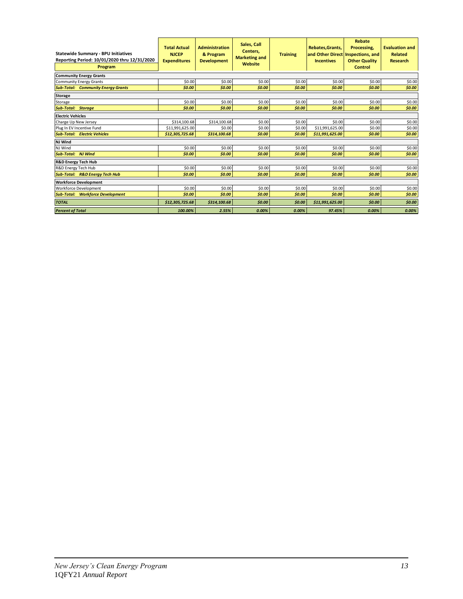| <b>Statewide Summary - BPU Initiatives</b><br>Reporting Period: 10/01/2020 thru 12/31/2020<br>Program | <b>Total Actual</b><br><b>NJCEP</b><br><b>Expenditures</b> | <b>Administration</b><br>& Program<br><b>Development</b> | Sales, Call<br>Centers,<br><b>Training</b><br><b>Marketing and</b><br>Website |        | <b>Rebates.Grants.</b><br>and Other Direct Inspections, and<br><b>Incentives</b> | Rebate<br>Processing.<br><b>Other Quality</b><br><b>Control</b> | <b>Evaluation and</b><br><b>Related</b><br><b>Research</b> |
|-------------------------------------------------------------------------------------------------------|------------------------------------------------------------|----------------------------------------------------------|-------------------------------------------------------------------------------|--------|----------------------------------------------------------------------------------|-----------------------------------------------------------------|------------------------------------------------------------|
| <b>Community Energy Grants</b>                                                                        |                                                            |                                                          |                                                                               |        |                                                                                  |                                                                 |                                                            |
| <b>Community Energy Grants</b>                                                                        | \$0.00                                                     | \$0.00                                                   | \$0.00                                                                        | \$0.00 | \$0.00                                                                           | \$0.00                                                          | \$0.00                                                     |
| <b>Sub-Total: Community Energy Grants</b>                                                             | \$0.00                                                     | \$0.00                                                   | \$0.00                                                                        | \$0.00 | \$0.00                                                                           | \$0.00                                                          | \$0.00                                                     |
| <b>Storage</b>                                                                                        |                                                            |                                                          |                                                                               |        |                                                                                  |                                                                 |                                                            |
| Storage                                                                                               | \$0.00                                                     | \$0.00                                                   | \$0.00                                                                        | \$0.00 | \$0.00                                                                           | \$0.00                                                          | \$0.00                                                     |
| <b>Sub-Total: Storage</b>                                                                             | \$0.00                                                     | \$0.00                                                   | \$0.00                                                                        | \$0.00 | \$0.00                                                                           | \$0.00                                                          | \$0.00                                                     |
| <b>Electric Vehicles</b>                                                                              |                                                            |                                                          |                                                                               |        |                                                                                  |                                                                 |                                                            |
| Charge Up New Jersey                                                                                  | \$314,100.68                                               | \$314,100.68                                             | \$0.00                                                                        | \$0.00 | \$0.00                                                                           | \$0.00                                                          | \$0.00                                                     |
| Plug In EV Incentive Fund                                                                             | \$11,991,625.00                                            | \$0.00                                                   | \$0.00                                                                        | \$0.00 | \$11,991,625.00                                                                  | \$0.00                                                          | \$0.00                                                     |
| <b>Sub-Total: Electric Vehicles</b>                                                                   | \$12,305,725.68                                            | \$314,100.68                                             | \$0.00                                                                        | \$0.00 | \$11,991,625.00                                                                  | \$0.00                                                          | \$0.00                                                     |
| NJ Wind                                                                                               |                                                            |                                                          |                                                                               |        |                                                                                  |                                                                 |                                                            |
| NJ Wind                                                                                               | \$0.00                                                     | \$0.00                                                   | \$0.00                                                                        | \$0.00 | \$0.00                                                                           | \$0.00                                                          | \$0.00                                                     |
| <b>Sub-Total: NJ Wind</b>                                                                             | \$0.00                                                     | \$0.00                                                   | \$0.00                                                                        | \$0.00 | \$0.00                                                                           | \$0.00                                                          | \$0.00                                                     |
| <b>R&amp;D Energy Tech Hub</b>                                                                        |                                                            |                                                          |                                                                               |        |                                                                                  |                                                                 |                                                            |
| R&D Energy Tech Hub                                                                                   | \$0.00                                                     | \$0.00                                                   | \$0.00                                                                        | \$0.00 | \$0.00                                                                           | \$0.00                                                          | \$0.00                                                     |
| <b>Sub-Total: R&amp;D Energy Tech Hub</b>                                                             | \$0.00                                                     | \$0.00                                                   | \$0.00                                                                        | \$0.00 | \$0.00                                                                           | \$0.00                                                          | \$0.00                                                     |
| <b>Workforce Development</b>                                                                          |                                                            |                                                          |                                                                               |        |                                                                                  |                                                                 |                                                            |
| <b>Workforce Development</b>                                                                          | \$0.00                                                     | \$0.00                                                   | \$0.00                                                                        | \$0.00 | \$0.00                                                                           | \$0.00                                                          | \$0.00                                                     |
| <b>Sub-Total: Workforce Development</b>                                                               | \$0.00                                                     | \$0.00                                                   | \$0.00                                                                        | \$0.00 | \$0.00                                                                           | \$0.00                                                          | \$0.00                                                     |
| <b>TOTAL</b>                                                                                          | \$12,305,725.68                                            | \$314,100.68                                             | \$0.00                                                                        | \$0.00 | \$11,991,625.00                                                                  | \$0.00                                                          | \$0.00                                                     |
| <b>Percent of Total</b>                                                                               | 100.00%                                                    | 2.55%                                                    | 0.00%                                                                         | 0.00%  | 97.45%                                                                           | 0.00%                                                           | 0.00%                                                      |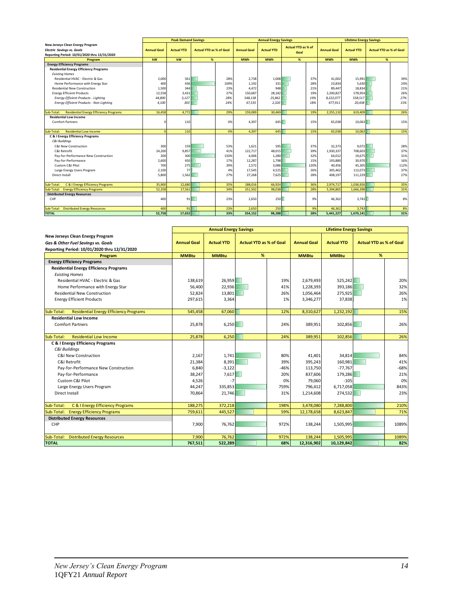|                                                             |                    | <b>Peak Demand Savings</b> |                                |      |                    | <b>Annual Energy Savings</b> |                           |      |                    | <b>Lifetime Energy Savings</b> |                                |      |
|-------------------------------------------------------------|--------------------|----------------------------|--------------------------------|------|--------------------|------------------------------|---------------------------|------|--------------------|--------------------------------|--------------------------------|------|
| New Jerseys Clean Energy Program                            |                    |                            |                                |      |                    |                              | <b>Actual YTD as % of</b> |      |                    |                                |                                |      |
| <b>Electric Savings vs. Goals</b>                           | <b>Annual Goal</b> | <b>Actual YTD</b>          | <b>Actual YTD as % of Goal</b> |      | <b>Annual Goal</b> | <b>Actual YTD</b>            | Goal                      |      | <b>Annual Goal</b> | <b>Actual YTD</b>              | <b>Actual YTD as % of Goal</b> |      |
| Reporting Period: 10/01/2020 thru 12/31/2020                |                    |                            |                                |      |                    |                              |                           |      |                    |                                |                                |      |
| Program                                                     | kW                 | kW                         | %                              |      | <b>MWh</b>         | <b>MWh</b>                   | %                         |      | <b>MWh</b>         | <b>MWh</b>                     | %                              |      |
| <b>Energy Efficiency Programs</b>                           |                    |                            |                                |      |                    |                              |                           |      |                    |                                |                                |      |
| <b>Residential Energy Efficiency Programs</b>               |                    |                            |                                |      |                    |                              |                           |      |                    |                                |                                |      |
| <b>Existing Homes</b>                                       |                    |                            |                                |      |                    |                              |                           |      |                    |                                |                                |      |
| Residential HVAC - Electric & Gas                           | 2,000              | 561                        |                                | 28%  | 2,738              | 1,008                        |                           | 37%  | 41,002             | 15,991                         |                                | 39%  |
| Home Performance with Energy Star                           | 400                | 436                        |                                | 109% | 1,192              | 331                          |                           | 28%  | 23,834             | 5,630                          |                                | 24%  |
| <b>Residential New Construction</b>                         | 1,500              | 344                        |                                | 23%  | 4,472              | 948                          |                           | 21%  | 89,447             | 18,834                         |                                | 21%  |
| <b>Energy Efficient Products</b>                            | 12,558             | 3.431                      |                                | 27%  | 150,687            | 28,182                       |                           | 19%  | 2,200,827          | 578,954                        |                                | 26%  |
| <b>Energy Efficient Products - Lighting</b>                 | 44,800             | 3,127                      |                                | 28%  | 548,138            | 25,862                       |                           | 19%  | 8,222,077          | 558,517                        |                                | 27%  |
| Energy Efficient Products - Non-Lighting                    | 4,100              | 303                        |                                | 24%  | 47,535             | 2,320                        |                           | 18%  | 477,911            | 20,438                         |                                | 15%  |
|                                                             |                    |                            |                                |      |                    |                              |                           |      |                    |                                |                                |      |
| <b>Residential Energy Efficiency Programs</b><br>Sub-Total: | 16,458             | 4.772                      |                                | 29%  | 159,089            | 30,469                       |                           | 19%  | 2,355,110          | 619,409                        |                                | 26%  |
| <b>Residential Low Income</b>                               |                    |                            |                                |      |                    |                              |                           |      |                    |                                |                                |      |
| <b>Comfort Partners</b>                                     | C                  | 110                        |                                | 0%   | 4.397              | 645                          |                           | 15%  | 65.038             | 10.063                         |                                | 15%  |
|                                                             |                    |                            |                                |      |                    |                              |                           |      |                    |                                |                                |      |
| Sub-Total:<br><b>Residential Low Income</b>                 | $\sqrt{ }$         | 110                        |                                | 0%   | 4,397              | 645                          |                           | 15%  | 65.038             | 10,063                         |                                | 15%  |
| <b>C &amp; I Energy Efficiency Programs</b>                 |                    |                            |                                |      |                    |                              |                           |      |                    |                                |                                |      |
| <b>C&amp;I Buildings</b>                                    |                    |                            |                                |      |                    |                              |                           |      |                    |                                |                                |      |
| C&I New Construction                                        | 300                | 159                        |                                | 53%  | 1,621              | 595                          |                           | 37%  | 32,373             | 9,072                          |                                | 28%  |
| C&I Retrofit                                                | 24,200             | 9.857                      |                                | 41%  | 122,717            | 48.015                       |                           | 39%  | 1,930,337          | 708,603                        |                                | 37%  |
| Pay-for-Performance New Construction                        | 200                | 300                        |                                | 150% | 4,006              | 1,280                        |                           | 32%  | 64,012             | 19,675                         |                                | 31%  |
| Pay-for-Performance                                         | 2,600              | 450                        |                                | 17%  | 12,287             | 1,798                        |                           | 15%  | 193,880            | 30,970                         |                                | 16%  |
| Custom C&I Pilot                                            | 700                | 275                        |                                | 39%  | 2.572              | 3.086                        |                           | 120% | 40,456             | 45,305                         |                                | 112% |
| Large Energy Users Program                                  | 2,100              | 77                         |                                | 4%   | 17,545             | 4,525                        |                           | 26%  | 305,462            | 112,073                        |                                | 37%  |
| Direct Install                                              | 5,800              | 1.562                      |                                | 27%  | 27,268             | 7,625                        |                           | 28%  | 408,197            | 111,229                        |                                | 27%  |
|                                                             |                    |                            |                                |      |                    |                              |                           |      |                    |                                |                                |      |
| C & I Energy Efficiency Programs<br>Sub-Total:              | 35,900             | 12,680                     |                                | 35%  | 188,016            | 66,924                       |                           | 36%  | 2.974.717          | 1.036.926                      |                                | 35%  |
| <b>Energy Efficiency Programs</b><br>Sub-Total:             | 52,358             | 17,561                     |                                | 34%  | 351,502            | 98,038                       |                           | 28%  | 5,394,865          | 1,666,398                      |                                | 31%  |
| <b>Distributed Energy Resources</b>                         |                    |                            |                                |      |                    |                              |                           |      |                    |                                |                                |      |
| CHP                                                         | 400                | 91                         |                                | 23%  | 2,650              | 250                          |                           | 9%   | 46,362             | 3,743                          |                                | 8%   |
|                                                             |                    |                            |                                |      |                    |                              |                           |      |                    |                                |                                |      |
| <b>Distributed Energy Resources</b><br>Sub-Total:           | 400                | 91                         |                                | 23%  | 2,650              | 250                          |                           | 9%   | 46,362             | 3,743                          |                                | 8%   |
| <b>TOTAL</b>                                                | 52.758             | 17.652                     |                                | 33%  | 354,152            | 98.288                       |                           | 28%  | 5.441.227          | 1,670,141                      |                                | 31%  |

|                                                             |                    | <b>Annual Energy Savings</b> |                                | <b>Lifetime Energy Savings</b> |                    |                   |                                |        |
|-------------------------------------------------------------|--------------------|------------------------------|--------------------------------|--------------------------------|--------------------|-------------------|--------------------------------|--------|
| New Jerseys Clean Energy Program                            |                    |                              |                                |                                |                    |                   |                                |        |
| <b>Gas &amp; Other Fuel Savinas vs. Goals</b>               | <b>Annual Goal</b> | <b>Actual YTD</b>            | <b>Actual YTD as % of Goal</b> |                                | <b>Annual Goal</b> | <b>Actual YTD</b> | <b>Actual YTD as % of Goal</b> |        |
| Reporting Period: 10/01/2020 thru 12/31/2020                |                    |                              |                                |                                |                    |                   |                                |        |
| Program                                                     | <b>MMBtu</b>       | <b>MMBtu</b>                 | %                              |                                | <b>MMBtu</b>       | <b>MMBtu</b>      | %                              |        |
| <b>Energy Efficiency Programs</b>                           |                    |                              |                                |                                |                    |                   |                                |        |
| <b>Residential Energy Efficiency Programs</b>               |                    |                              |                                |                                |                    |                   |                                |        |
| <b>Existing Homes</b>                                       |                    |                              |                                |                                |                    |                   |                                |        |
| Residential HVAC - Electric & Gas                           | 138,619            | 26,959                       |                                | 19%                            | 2,679,493          | 525,242           |                                | 20%    |
| Home Performance with Energy Star                           | 56,400             | 22,936                       |                                | 41%                            | 1,228,393          | 393,186           |                                | 32%    |
| <b>Residential New Construction</b>                         | 52,824             | 13,801                       |                                | 26%                            | 1,056,464          | 275,925           |                                | 26%    |
| <b>Energy Efficient Products</b>                            | 297,615            | 3,364                        |                                | 1%                             | 3,346,277          | 37,838            |                                | 1%     |
|                                                             |                    |                              |                                |                                |                    |                   |                                |        |
| <b>Residential Energy Efficiency Programs</b><br>Sub-Total: | 545,458            | 67,060                       |                                | 12%                            | 8,310,627          | 1,232,192         |                                | 15%    |
| <b>Residential Low Income</b>                               |                    |                              |                                |                                |                    |                   |                                |        |
| <b>Comfort Partners</b>                                     | 25,878             | 6,250                        |                                | 24%                            | 389,951            | 102,856           |                                | 26%    |
|                                                             |                    |                              |                                |                                |                    |                   |                                |        |
| <b>Residential Low Income</b><br>Sub-Total:                 | 25,878             | 6,250                        |                                | 24%                            | 389,951            | 102,856           |                                | 26%    |
| <b>C &amp; I Energy Efficiency Programs</b>                 |                    |                              |                                |                                |                    |                   |                                |        |
| C&I Buildings                                               |                    |                              |                                |                                |                    |                   |                                |        |
| C&I New Construction                                        | 2,167              | 1,741                        |                                | 80%                            | 41,401             | 34,814            |                                | 84%    |
| C&I Retrofit                                                | 21,384             | 8,391                        |                                | 39%                            | 395,243            | 160,981           |                                | 41%    |
| Pay-for-Performance New Construction                        | 6,840              | $-3,122$                     |                                | $-46%$                         | 113,750            | $-77,767$         |                                | $-68%$ |
| Pay-for-Performance                                         | 38,247             | 7,617                        |                                | 20%                            | 837,606            | 179,286           |                                | 21%    |
| Custom C&I Pilot                                            | 4,526              | $-7$                         |                                | 0%                             | 79,060             | $-105$            |                                | 0%     |
| Large Energy Users Program                                  | 44,247             | 335,853                      |                                | 759%                           | 796,412            | 6,717,058         |                                | 843%   |
| <b>Direct Install</b>                                       | 70,864             | 21,746                       |                                | 31%                            | 1,214,608          | 274,532           |                                | 23%    |
|                                                             |                    |                              |                                |                                |                    |                   |                                |        |
| C & I Energy Efficiency Programs<br>Sub-Total:              | 188,275            | 372,218                      |                                | 198%                           | 3,478,080          | 7,288,800         |                                | 210%   |
| Sub-Total: Energy Efficiency Programs                       | 759,611            | 445,527                      |                                | 59%                            | 12,178,658         | 8,623,847         |                                | 71%    |
| <b>Distributed Energy Resources</b>                         |                    |                              |                                |                                |                    |                   |                                |        |
| CHP                                                         | 7,900              | 76,762                       |                                | 972%                           | 138,244            | 1,505,995         |                                | 1089%  |
|                                                             |                    |                              |                                |                                |                    |                   |                                |        |
| Sub-Total: Distributed Energy Resources                     | 7,900              | 76,762                       |                                | 972%                           | 138,244            | 1,505,995         |                                | 1089%  |
| <b>TOTAL</b>                                                | 767,511            | 522,289                      |                                | 68%                            | 12,316,902         | 10,129,842        |                                | 82%    |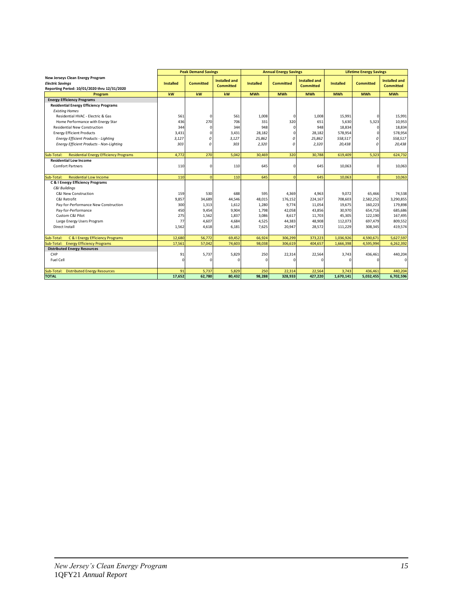|                                                                                                             |                  | <b>Peak Demand Savings</b> |                                          |                  | <b>Annual Energy Savings</b> |                                          |                  | <b>Lifetime Energy Savings</b> |                                          |
|-------------------------------------------------------------------------------------------------------------|------------------|----------------------------|------------------------------------------|------------------|------------------------------|------------------------------------------|------------------|--------------------------------|------------------------------------------|
| New Jerseys Clean Energy Program<br><b>Electric Savings</b><br>Reporting Period: 10/01/2020 thru 12/31/2020 | <b>Installed</b> | <b>Committed</b>           | <b>Installed and</b><br><b>Committed</b> | <b>Installed</b> | <b>Committed</b>             | <b>Installed and</b><br><b>Committed</b> | <b>Installed</b> | <b>Committed</b>               | <b>Installed and</b><br><b>Committed</b> |
| Program                                                                                                     | kW               | kW                         | kw                                       | <b>MWh</b>       | <b>MWh</b>                   | <b>MWh</b>                               | <b>MWh</b>       | <b>MWh</b>                     | <b>MWh</b>                               |
| <b>Energy Efficiency Programs</b>                                                                           |                  |                            |                                          |                  |                              |                                          |                  |                                |                                          |
| <b>Residential Energy Efficiency Programs</b>                                                               |                  |                            |                                          |                  |                              |                                          |                  |                                |                                          |
| <b>Existing Homes</b>                                                                                       |                  |                            |                                          |                  |                              |                                          |                  |                                |                                          |
| Residential HVAC - Electric & Gas                                                                           | 561              | $\Omega$                   | 561                                      | 1,008            | $\Omega$                     | 1,008                                    | 15,991           | $\Omega$                       | 15,991                                   |
| Home Performance with Energy Star                                                                           | 436              | 270                        | 706                                      | 331              | 320                          | 651                                      | 5.630            | 5,323                          | 10,953                                   |
| <b>Residential New Construction</b>                                                                         | 344              | $\Omega$                   | 344                                      | 948              | $\Omega$                     | 948                                      | 18,834           | 0                              | 18,834                                   |
| <b>Energy Efficient Products</b>                                                                            | 3.431            | $\Omega$                   | 3,431                                    | 28,182           |                              | 28,182                                   | 578,954          | $\Omega$                       | 578,954                                  |
| Energy Efficient Products - Lighting                                                                        | 3,127            | $\theta$                   | 3,127                                    | 25,862           | $\epsilon$                   | 25,862                                   | 558,517          | O                              | 558,517                                  |
| Energy Efficient Products - Non-Lighting                                                                    | 303              | $\sqrt{2}$                 | 303                                      | 2.320            | $\Omega$                     | 2,320                                    | 20.438           | $\Omega$                       | 20.438                                   |
|                                                                                                             |                  |                            |                                          |                  |                              |                                          |                  |                                |                                          |
| <b>Residential Energy Efficiency Programs</b><br>Sub-Total:                                                 | 4,772            | 270                        | 5,042                                    | 30,469           | 320                          | 30,788                                   | 619,409          | 5,323                          | 624,732                                  |
| <b>Residential Low Income</b>                                                                               |                  |                            |                                          |                  |                              |                                          |                  |                                |                                          |
| <b>Comfort Partners</b>                                                                                     | 110              | $\Omega$                   | 110                                      | 645              | $\Omega$                     | 645                                      | 10.063           | $\Omega$                       | 10,063                                   |
|                                                                                                             |                  |                            |                                          |                  |                              |                                          |                  |                                |                                          |
| <b>Residential Low Income</b><br>Sub-Total:                                                                 | 110              | $\Omega$                   | 110                                      | 645              | $\Omega$                     | 645                                      | 10.063           | $\overline{0}$                 | 10,063                                   |
| <b>C &amp; I Energy Efficiency Programs</b>                                                                 |                  |                            |                                          |                  |                              |                                          |                  |                                |                                          |
| C&I Buildinas                                                                                               |                  |                            |                                          |                  |                              |                                          |                  |                                |                                          |
| <b>C&amp;I New Construction</b>                                                                             | 159              | 530                        | 688                                      | 595              | 4,369                        | 4,963                                    | 9,072            | 65,466                         | 74,538                                   |
| C&I Retrofit                                                                                                | 9,857            | 34,689                     | 44,546                                   | 48,015           | 176,152                      | 224,167                                  | 708,603          | 2,582,252                      | 3,290,855                                |
| Pay-for-Performance New Construction                                                                        | 300              | 1,313                      | 1,612                                    | 1,280            | 9,774                        | 11,054                                   | 19,675           | 160,223                        | 179,898                                  |
| Pay-for-Performance                                                                                         | 450              | 9,454                      | 9,904                                    | 1,798            | 42,058                       | 43,856                                   | 30,970           | 654,716                        | 685,686                                  |
| Custom C&I Pilot                                                                                            | 275              | 1,562                      | 1,837                                    | 3,086            | 8,617                        | 11,703                                   | 45,305           | 122,190                        | 167,495                                  |
| Large Energy Users Program                                                                                  | 77               | 4,607                      | 4,684                                    | 4,525            | 44,383                       | 48,908                                   | 112,073          | 697,479                        | 809,552                                  |
| Direct Install                                                                                              | 1.562            | 4,618                      | 6,181                                    | 7.625            | 20,947                       | 28,572                                   | 111,229          | 308,345                        | 419,574                                  |
|                                                                                                             |                  |                            |                                          |                  |                              |                                          |                  |                                |                                          |
| C & I Energy Efficiency Programs<br>Sub-Total:                                                              | 12,680           | 56,772                     | 69,452                                   | 66,924           | 306,299                      | 373,223                                  | 1,036,926        | 4,590,671                      | 5,627,597                                |
| Sub-Total:<br><b>Energy Efficiency Programs</b>                                                             | 17,561           | 57,042                     | 74,603                                   | 98,038           | 306,619                      | 404,657                                  | 1,666,398        | 4,595,994                      | 6,262,392                                |
| <b>Distributed Energy Resources</b>                                                                         |                  |                            |                                          |                  |                              |                                          |                  |                                |                                          |
| CHP                                                                                                         | 91               | 5.737                      | 5.829                                    | 250              | 22,314                       | 22,564                                   | 3,743            | 436.461                        | 440,204                                  |
| Fuel Cell                                                                                                   | $\Omega$         | O                          | $\Omega$                                 | $\Omega$         | $\Omega$                     | $\Omega$                                 | $\Omega$         | O                              | $\mathbf 0$                              |
|                                                                                                             |                  |                            |                                          |                  |                              |                                          |                  |                                |                                          |
| <b>Distributed Energy Resources</b><br>Sub-Total:                                                           | 91               | 5,737                      | 5,829                                    | 250              | 22,314                       | 22,564                                   | 3,743            | 436,461                        | 440,204                                  |
| <b>TOTAL</b>                                                                                                | 17,652           | 62,780                     | 80,432                                   | 98,288           | 328,933                      | 427,220                                  | 1,670,141        | 5,032,455                      | 6,702,596                                |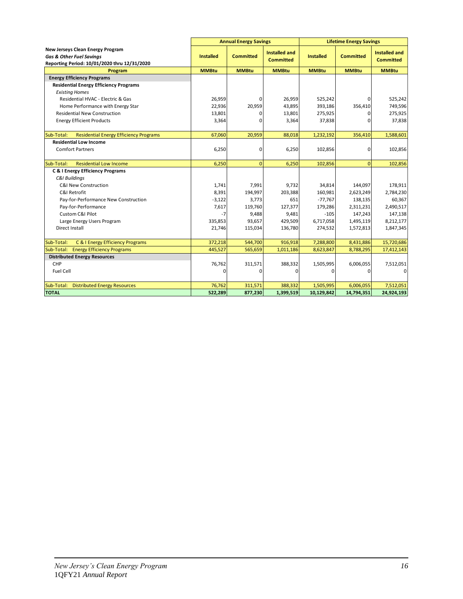|                                                                         | <b>Annual Energy Savings</b> |                  |                      |                  | <b>Lifetime Energy Savings</b> |                      |
|-------------------------------------------------------------------------|------------------------------|------------------|----------------------|------------------|--------------------------------|----------------------|
| New Jerseys Clean Energy Program<br><b>Gas &amp; Other Fuel Savings</b> | <b>Installed</b>             | <b>Committed</b> | <b>Installed and</b> | <b>Installed</b> | <b>Committed</b>               | <b>Installed and</b> |
| Reporting Period: 10/01/2020 thru 12/31/2020                            |                              |                  | <b>Committed</b>     |                  |                                | <b>Committed</b>     |
| Program                                                                 | <b>MMBtu</b>                 | <b>MMBtu</b>     | <b>MMBtu</b>         | <b>MMBtu</b>     | <b>MMBtu</b>                   | <b>MMBtu</b>         |
| <b>Energy Efficiency Programs</b>                                       |                              |                  |                      |                  |                                |                      |
| <b>Residential Energy Efficiency Programs</b>                           |                              |                  |                      |                  |                                |                      |
| <b>Existing Homes</b>                                                   |                              |                  |                      |                  |                                |                      |
| Residential HVAC - Electric & Gas                                       | 26,959                       | 0                | 26.959               | 525,242          | 0                              | 525,242              |
| Home Performance with Energy Star                                       | 22,936                       | 20,959           | 43,895               | 393,186          | 356,410                        | 749,596              |
| <b>Residential New Construction</b>                                     | 13,801                       | 0                | 13,801               | 275,925          | 0                              | 275,925              |
| <b>Energy Efficient Products</b>                                        | 3,364                        | 0                | 3,364                | 37,838           | <sup>0</sup>                   | 37,838               |
|                                                                         |                              |                  |                      |                  |                                |                      |
| <b>Residential Energy Efficiency Programs</b><br>Sub-Total:             | 67,060                       | 20,959           | 88,018               | 1,232,192        | 356,410                        | 1,588,601            |
| <b>Residential Low Income</b>                                           |                              |                  |                      |                  |                                |                      |
| <b>Comfort Partners</b>                                                 | 6,250                        | 0                | 6,250                | 102,856          | 0                              | 102,856              |
|                                                                         |                              |                  |                      |                  |                                |                      |
| Sub-Total:<br><b>Residential Low Income</b>                             | 6,250                        | $\overline{0}$   | 6,250                | 102,856          | $\Omega$                       | 102,856              |
| C & I Energy Efficiency Programs                                        |                              |                  |                      |                  |                                |                      |
| C&I Buildings                                                           |                              |                  |                      |                  |                                |                      |
| <b>C&amp;I New Construction</b>                                         | 1,741                        | 7,991            | 9,732                | 34,814           | 144,097                        | 178,911              |
| C&I Retrofit                                                            | 8,391                        | 194,997          | 203,388              | 160,981          | 2,623,249                      | 2,784,230            |
| Pay-for-Performance New Construction                                    | $-3,122$                     | 3,773            | 651                  | $-77,767$        | 138,135                        | 60,367               |
| Pay-for-Performance                                                     | 7,617                        | 119,760          | 127,377              | 179,286          | 2,311,231                      | 2,490,517            |
| Custom C&I Pilot                                                        | $-7$                         | 9,488            | 9,481                | $-105$           | 147,243                        | 147,138              |
| Large Energy Users Program                                              | 335,853                      | 93,657           | 429,509              | 6,717,058        | 1,495,119                      | 8,212,177            |
| Direct Install                                                          | 21,746                       | 115,034          | 136,780              | 274,532          | 1,572,813                      | 1,847,345            |
|                                                                         |                              |                  |                      |                  |                                |                      |
| Sub-Total:<br>C & I Energy Efficiency Programs                          | 372,218                      | 544,700          | 916,918              | 7,288,800        | 8,431,886                      | 15,720,686           |
| Sub-Total: Energy Efficiency Programs                                   | 445,527                      | 565,659          | 1,011,186            | 8,623,847        | 8,788,295                      | 17,412,143           |
| <b>Distributed Energy Resources</b><br>CHP                              | 76,762                       | 311,571          | 388,332              | 1,505,995        | 6,006,055                      | 7,512,051            |
| Fuel Cell                                                               | $\Omega$                     | 0                | $\Omega$             | 0                | $\Omega$                       | $\Omega$             |
|                                                                         |                              |                  |                      |                  |                                |                      |
| Sub-Total:<br><b>Distributed Energy Resources</b>                       | 76,762                       | 311,571          | 388,332              | 1,505,995        | 6,006,055                      | 7,512,051            |
| <b>TOTAL</b>                                                            | 522,289                      | 877,230          | 1,399,519            | 10,129,842       | 14,794,351                     | 24,924,193           |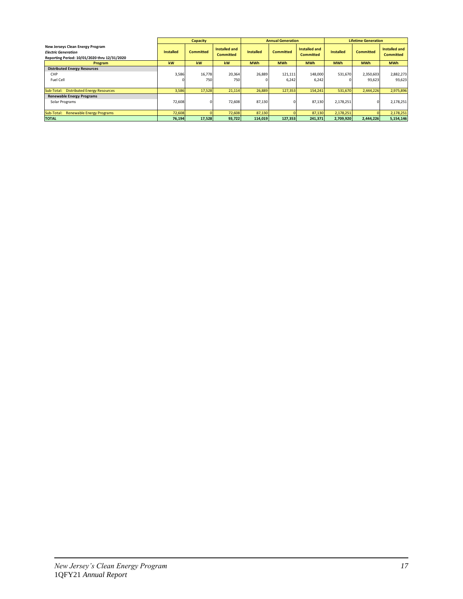|                                                                                                                |                  | <b>Capacity</b>  |                                   |                  | <b>Annual Generation</b> |                                   |                  | <b>Lifetime Generation</b> |                                          |  |
|----------------------------------------------------------------------------------------------------------------|------------------|------------------|-----------------------------------|------------------|--------------------------|-----------------------------------|------------------|----------------------------|------------------------------------------|--|
| New Jerseys Clean Energy Program<br><b>Electric Generation</b><br>Reporting Period: 10/01/2020 thru 12/31/2020 | <b>Installed</b> | <b>Committed</b> | Installed and<br><b>Committed</b> | <b>Installed</b> | <b>Committed</b>         | Installed and<br><b>Committed</b> | <b>Installed</b> | <b>Committed</b>           | <b>Installed and</b><br><b>Committed</b> |  |
| Program                                                                                                        | <b>kW</b>        | kW               | kW                                | <b>MWh</b>       | <b>MWh</b>               | <b>MWh</b>                        | <b>MWh</b>       | <b>MWh</b>                 | <b>MWh</b>                               |  |
| <b>Distributed Energy Resources</b><br>CHP<br>Fuel Cell                                                        | 3,586<br>0       | 16,778<br>750    | 20,364<br>750                     | 26,889           | 121,111<br>6,242         | 148,000<br>6,242                  | 531,670          | 2,350,603<br>93,623        | 2,882,273<br>93,623                      |  |
| Sub-Total: Distributed Energy Resources                                                                        | 3,586            | 17,528           | 21,114                            | 26,889           | 127,353                  | 154,241                           | 531,670          | 2,444,226                  | 2,975,896                                |  |
| <b>Renewable Energy Programs</b><br>Solar Programs                                                             | 72,608           |                  | 72,608                            | 87,130           |                          | 87,130                            | 2,178,251        | $\Omega$                   | 2,178,251                                |  |
| Sub-Total: Renewable Energy Programs                                                                           | 72,608           |                  | 72,608                            | 87,130           |                          | 87,130                            | 2,178,251        |                            | 2,178,251                                |  |
| <b>TOTAL</b>                                                                                                   | 76,194           | 17,528           | 93,722                            | 114,019          | 127,353                  | 241,371                           | 2,709,920        | 2,444,226                  | 5,154,146                                |  |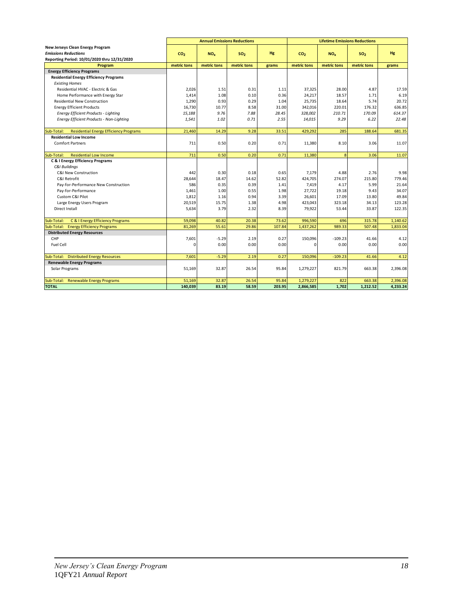|                                                                        |                 | <b>Annual Emissions Reductions</b> |                 |              |                 | <b>Lifetime Emissions Reductions</b> |                 |                |
|------------------------------------------------------------------------|-----------------|------------------------------------|-----------------|--------------|-----------------|--------------------------------------|-----------------|----------------|
| New Jerseys Clean Energy Program                                       |                 |                                    |                 |              |                 |                                      |                 |                |
| <b>Emissions Reductions</b>                                            | CO <sub>2</sub> | NO <sub>v</sub>                    | SO <sub>2</sub> | <b>Hg</b>    | CO <sub>2</sub> | $NO_x$                               | SO <sub>2</sub> | Hg             |
| Reporting Period: 10/01/2020 thru 12/31/2020                           |                 |                                    |                 |              |                 |                                      |                 |                |
| Program                                                                | metric tons     | metric tons                        | metric tons     | grams        | metric tons     | metric tons                          | metric tons     | grams          |
| <b>Energy Efficiency Programs</b>                                      |                 |                                    |                 |              |                 |                                      |                 |                |
| <b>Residential Energy Efficiency Programs</b><br><b>Existing Homes</b> |                 |                                    |                 |              |                 |                                      |                 |                |
| Residential HVAC - Electric & Gas                                      | 2,026           | 1.51                               | 0.31            | 1.11         | 37,325          | 28.00                                | 4.87            | 17.59          |
| Home Performance with Energy Star                                      | 1,414           | 1.08                               | 0.10            | 0.36         | 24,217          | 18.57                                | 1.71            | 6.19           |
| <b>Residential New Construction</b>                                    | 1,290           | 0.93                               | 0.29            | 1.04         | 25,735          | 18.64                                | 5.74            | 20.72          |
| <b>Energy Efficient Products</b>                                       | 16,730          | 10.77                              | 8.58            | 31.00        | 342,016         | 220.01                               | 176.32          | 636.85         |
| <b>Energy Efficient Products - Lighting</b>                            | 15,188          | 9.76                               | 7.88            | 28.45        | 328,002         | 210.71                               | 170.09          | 614.37         |
| Energy Efficient Products - Non-Lighting                               | 1,541           | 1.02                               | 0.71            | 2.55         | 14,015          | 9.29                                 | 6.22            | 22.48          |
|                                                                        |                 |                                    |                 |              |                 |                                      |                 |                |
| <b>Residential Energy Efficiency Programs</b><br>Sub-Total:            | 21,460          | 14.29                              | 9.28            | 33.51        | 429,292         | 285                                  | 188.64          | 681.35         |
| <b>Residential Low Income</b>                                          |                 |                                    |                 |              |                 |                                      |                 |                |
| <b>Comfort Partners</b>                                                | 711             | 0.50                               | 0.20            | 0.71         | 11,380          | 8.10                                 | 3.06            | 11.07          |
|                                                                        |                 |                                    |                 |              |                 |                                      |                 |                |
| <b>Residential Low Income</b><br>Sub-Total:                            | 711             | 0.50                               | 0.20            | 0.71         | 11,380          | 8                                    | 3.06            | 11.07          |
| <b>C &amp; I Energy Efficiency Programs</b>                            |                 |                                    |                 |              |                 |                                      |                 |                |
| <b>C&amp;I Buildings</b>                                               |                 |                                    |                 |              |                 |                                      |                 |                |
| C&I New Construction                                                   | 442             | 0.30                               | 0.18            | 0.65         | 7,179           | 4.88                                 | 2.76            | 9.98           |
| C&I Retrofit                                                           | 28,644          | 18.47                              | 14.62<br>0.39   | 52.82        | 424,705         | 274.07                               | 215.80          | 779.46         |
| Pay-for-Performance New Construction                                   | 586             | 0.35<br>1.00                       | 0.55            | 1.41<br>1.98 | 7,419<br>27,722 | 4.17<br>19.18                        | 5.99<br>9.43    | 21.64<br>34.07 |
| Pay-for-Performance<br>Custom C&I Pilot                                | 1,461<br>1,812  | 1.16                               | 0.94            | 3.39         | 26,601          | 17.09                                | 13.80           | 49.84          |
| Large Energy Users Program                                             | 20,519          | 15.75                              | 1.38            | 4.98         | 423,043         | 323.18                               | 34.13           | 123.28         |
| Direct Install                                                         | 5,634           | 3.79                               | 2.32            | 8.39         | 79,922          | 53.44                                | 33.87           | 122.35         |
|                                                                        |                 |                                    |                 |              |                 |                                      |                 |                |
| C & I Energy Efficiency Programs<br>Sub-Total:                         | 59,098          | 40.82                              | 20.38           | 73.62        | 996,590         | 696                                  | 315.78          | 1,140.62       |
| <b>Energy Efficiency Programs</b><br>Sub-Total:                        | 81,269          | 55.61                              | 29.86           | 107.84       | 1,437,262       | 989.33                               | 507.48          | 1,833.04       |
| <b>Distributed Energy Resources</b>                                    |                 |                                    |                 |              |                 |                                      |                 |                |
| CHP                                                                    | 7,601           | $-5.29$                            | 2.19            | 0.27         | 150,096         | $-109.23$                            | 41.66           | 4.12           |
| Fuel Cell                                                              | $\Omega$        | 0.00                               | 0.00            | 0.00         | $\Omega$        | 0.00                                 | 0.00            | 0.00           |
|                                                                        |                 |                                    |                 |              |                 |                                      |                 |                |
| Sub-Total: Distributed Energy Resources                                | 7,601           | $-5.29$                            | 2.19            | 0.27         | 150,096         | $-109.23$                            | 41.66           | 4.12           |
| <b>Renewable Energy Programs</b>                                       |                 |                                    |                 |              |                 |                                      |                 |                |
| Solar Programs                                                         | 51,169          | 32.87                              | 26.54           | 95.84        | 1,279,227       | 821.79                               | 663.38          | 2,396.08       |
|                                                                        |                 |                                    |                 |              |                 |                                      |                 |                |
| Sub-Total: Renewable Energy Programs                                   | 51,169          | 32.87                              | 26.54           | 95.84        | 1,279,227       | 822                                  | 663.38          | 2,396.08       |
| <b>TOTAL</b>                                                           | 140.039         | 83.19                              | 58.59           | 203.95       | 2,866,585       | 1.702                                | 1.212.52        | 4.233.24       |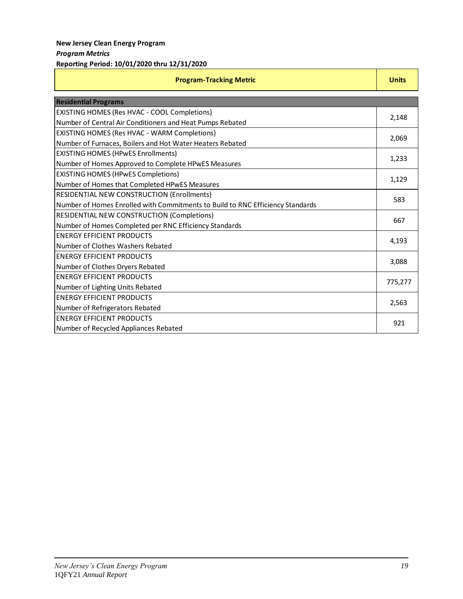| <b>Program-Tracking Metric</b>                                                 | <b>Units</b> |
|--------------------------------------------------------------------------------|--------------|
| <b>Residential Programs</b>                                                    |              |
| <b>EXISTING HOMES (Res HVAC - COOL Completions)</b>                            |              |
| Number of Central Air Conditioners and Heat Pumps Rebated                      | 2,148        |
| <b>EXISTING HOMES (Res HVAC - WARM Completions)</b>                            | 2,069        |
| Number of Furnaces, Boilers and Hot Water Heaters Rebated                      |              |
| <b>EXISTING HOMES (HPwES Enrollments)</b>                                      | 1,233        |
| Number of Homes Approved to Complete HPwES Measures                            |              |
| <b>EXISTING HOMES (HPwES Completions)</b>                                      | 1,129        |
| Number of Homes that Completed HPwES Measures                                  |              |
| <b>RESIDENTIAL NEW CONSTRUCTION (Enrollments)</b>                              | 583          |
| Number of Homes Enrolled with Commitments to Build to RNC Efficiency Standards |              |
| RESIDENTIAL NEW CONSTRUCTION (Completions)                                     | 667          |
| Number of Homes Completed per RNC Efficiency Standards                         |              |
| <b>ENERGY EFFICIENT PRODUCTS</b>                                               | 4,193        |
| Number of Clothes Washers Rebated                                              |              |
| <b>ENERGY EFFICIENT PRODUCTS</b>                                               | 3,088        |
| Number of Clothes Dryers Rebated                                               |              |
| <b>ENERGY EFFICIENT PRODUCTS</b>                                               | 775,277      |
| Number of Lighting Units Rebated                                               |              |
| <b>ENERGY EFFICIENT PRODUCTS</b>                                               | 2,563        |
| Number of Refrigerators Rebated                                                |              |
| <b>ENERGY EFFICIENT PRODUCTS</b>                                               | 921          |
| Number of Recycled Appliances Rebated                                          |              |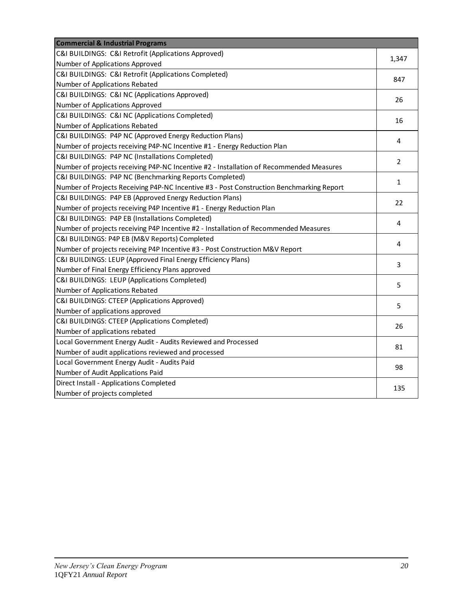| <b>Commercial &amp; Industrial Programs</b>                                              |              |
|------------------------------------------------------------------------------------------|--------------|
| C&I BUILDINGS: C&I Retrofit (Applications Approved)                                      | 1,347        |
| Number of Applications Approved                                                          |              |
| C&I BUILDINGS: C&I Retrofit (Applications Completed)                                     | 847          |
| Number of Applications Rebated                                                           |              |
| C&I BUILDINGS: C&I NC (Applications Approved)                                            | 26           |
| Number of Applications Approved                                                          |              |
| C&I BUILDINGS: C&I NC (Applications Completed)                                           | 16           |
| Number of Applications Rebated                                                           |              |
| C&I BUILDINGS: P4P NC (Approved Energy Reduction Plans)                                  | 4            |
| Number of projects receiving P4P-NC Incentive #1 - Energy Reduction Plan                 |              |
| C&I BUILDINGS: P4P NC (Installations Completed)                                          | 2            |
| Number of projects receiving P4P-NC Incentive #2 - Installation of Recommended Measures  |              |
| C&I BUILDINGS: P4P NC (Benchmarking Reports Completed)                                   | $\mathbf{1}$ |
| Number of Projects Receiving P4P-NC Incentive #3 - Post Construction Benchmarking Report |              |
| C&I BUILDINGS: P4P EB (Approved Energy Reduction Plans)                                  | 22           |
| Number of projects receiving P4P Incentive #1 - Energy Reduction Plan                    |              |
| C&I BUILDINGS: P4P EB (Installations Completed)                                          | 4            |
| Number of projects receiving P4P Incentive #2 - Installation of Recommended Measures     |              |
| C&I BUILDINGS: P4P EB (M&V Reports) Completed                                            | 4            |
| Number of projects receiving P4P Incentive #3 - Post Construction M&V Report             |              |
| C&I BUILDINGS: LEUP (Approved Final Energy Efficiency Plans)                             | 3            |
| Number of Final Energy Efficiency Plans approved                                         |              |
| C&I BUILDINGS: LEUP (Applications Completed)                                             | 5            |
| Number of Applications Rebated                                                           |              |
| C&I BUILDINGS: CTEEP (Applications Approved)                                             | 5            |
| Number of applications approved                                                          |              |
| C&I BUILDINGS: CTEEP (Applications Completed)                                            | 26           |
| Number of applications rebated                                                           |              |
| Local Government Energy Audit - Audits Reviewed and Processed                            | 81           |
| Number of audit applications reviewed and processed                                      |              |
| Local Government Energy Audit - Audits Paid                                              |              |
| Number of Audit Applications Paid                                                        | 98           |
| Direct Install - Applications Completed                                                  |              |
| Number of projects completed                                                             | 135          |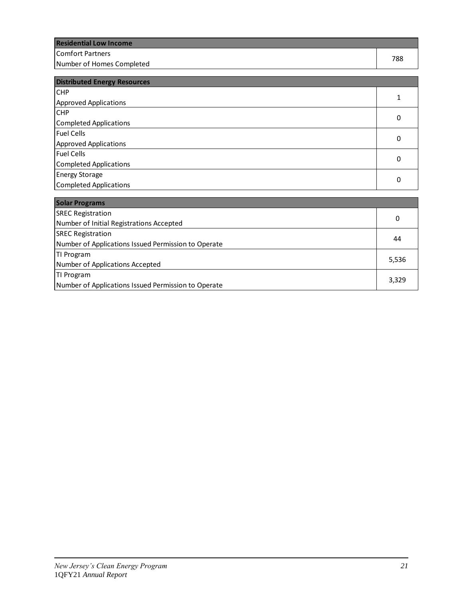| <b>Residential Low Income</b> |     |
|-------------------------------|-----|
| lComfort Partners             | 788 |
| Number of Homes Completed     |     |

| <b>Distributed Energy Resources</b> |   |
|-------------------------------------|---|
| <b>CHP</b>                          |   |
| <b>Approved Applications</b>        |   |
| <b>CHP</b>                          | 0 |
| Completed Applications              |   |
| Fuel Cells                          | 0 |
| <b>Approved Applications</b>        |   |
| Fuel Cells                          | 0 |
| <b>Completed Applications</b>       |   |
| <b>Energy Storage</b>               |   |
| Completed Applications              | 0 |

| <b>Solar Programs</b>                               |       |
|-----------------------------------------------------|-------|
| <b>SREC Registration</b>                            | 0     |
| Number of Initial Registrations Accepted            |       |
| <b>SREC Registration</b>                            | 44    |
| Number of Applications Issued Permission to Operate |       |
| TI Program                                          |       |
| Number of Applications Accepted                     | 5,536 |
| TI Program                                          |       |
| Number of Applications Issued Permission to Operate | 3,329 |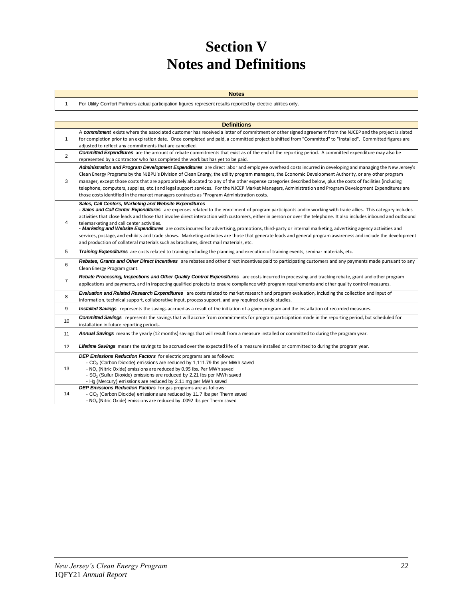# **Section V Notes and Definitions**

| <b>Notes</b>                                                                                                     |
|------------------------------------------------------------------------------------------------------------------|
| For Utility Comfort Partners actual participation figures represent results reported by electric utilities only. |

1

|                | <b>Definitions</b>                                                                                                                                                                                                                                                                                                                                                                                                                                                                                                                                                                                                                                                                                                                                                                                                                                                 |
|----------------|--------------------------------------------------------------------------------------------------------------------------------------------------------------------------------------------------------------------------------------------------------------------------------------------------------------------------------------------------------------------------------------------------------------------------------------------------------------------------------------------------------------------------------------------------------------------------------------------------------------------------------------------------------------------------------------------------------------------------------------------------------------------------------------------------------------------------------------------------------------------|
| $\mathbf{1}$   | A commitment exists where the associated customer has received a letter of commitment or other signed agreement from the NJCEP and the project is slated<br>for completion prior to an expiration date. Once completed and paid, a committed project is shifted from "Committed" to "Installed". Committed figures are<br>adjusted to reflect any commitments that are cancelled.                                                                                                                                                                                                                                                                                                                                                                                                                                                                                  |
| 2              | <b>Committed Expenditures</b> are the amount of rebate commitments that exist as of the end of the reporting period. A committed expenditure may also be<br>represented by a contractor who has completed the work but has yet to be paid.                                                                                                                                                                                                                                                                                                                                                                                                                                                                                                                                                                                                                         |
| 3              | Administration and Program Development Expenditures are direct labor and employee overhead costs incurred in developing and managing the New Jersey's<br>Clean Energy Programs by the NJBPU's Division of Clean Energy, the utility program managers, the Economic Development Authority, or any other program<br>manager, except those costs that are appropriately allocated to any of the other expense categories described below, plus the costs of facilities (including<br>telephone, computers, supplies, etc.) and legal support services. For the NJCEP Market Managers, Administration and Program Development Expenditures are<br>those costs identified in the market managers contracts as "Program Administration costs.                                                                                                                            |
| 4              | Sales, Call Centers, Marketing and Website Expenditures<br>- Sales and Call Center Expenditures are expenses related to the enrollment of program participants and in working with trade allies. This category includes<br>activities that close leads and those that involve direct interaction with customers, either in person or over the telephone. It also includes inbound and outbound<br>telemarketing and call center activities.<br>- Marketing and Website Expenditures are costs incurred for advertising, promotions, third-party or internal marketing, advertising agency activities and<br>services, postage, and exhibits and trade shows. Marketing activities are those that generate leads and general program awareness and include the development<br>and production of collateral materials such as brochures, direct mail materials, etc. |
| 5              | Training Expenditures are costs related to training including the planning and execution of training events, seminar materials, etc.                                                                                                                                                                                                                                                                                                                                                                                                                                                                                                                                                                                                                                                                                                                               |
| 6              | Rebates, Grants and Other Direct Incentives are rebates and other direct incentives paid to participating customers and any payments made pursuant to any<br>Clean Energy Program grant.                                                                                                                                                                                                                                                                                                                                                                                                                                                                                                                                                                                                                                                                           |
| $\overline{7}$ | Rebate Processing, Inspections and Other Quality Control Expenditures are costs incurred in processing and tracking rebate, grant and other program<br>applications and payments, and in inspecting qualified projects to ensure compliance with program requirements and other quality control measures.                                                                                                                                                                                                                                                                                                                                                                                                                                                                                                                                                          |
| 8              | Evaluation and Related Research Expenditures are costs related to market research and program evaluation, including the collection and input of<br>information, technical support, collaborative input, process support, and any required outside studies.                                                                                                                                                                                                                                                                                                                                                                                                                                                                                                                                                                                                         |
| 9              | Installed Savings represents the savings accrued as a result of the initiation of a given program and the installation of recorded measures.                                                                                                                                                                                                                                                                                                                                                                                                                                                                                                                                                                                                                                                                                                                       |
| 10             | <b>Committed Savings</b> represents the savings that will accrue from commitments for program participation made in the reporting period, but scheduled for<br>installation in future reporting periods.                                                                                                                                                                                                                                                                                                                                                                                                                                                                                                                                                                                                                                                           |
| 11             | Annual Savings means the yearly (12 months) savings that will result from a measure installed or committed to during the program year.                                                                                                                                                                                                                                                                                                                                                                                                                                                                                                                                                                                                                                                                                                                             |
| 12             | Lifetime Savings means the savings to be accrued over the expected life of a measure installed or committed to during the program year.                                                                                                                                                                                                                                                                                                                                                                                                                                                                                                                                                                                                                                                                                                                            |
| 13             | <b>DEP Emissions Reduction Factors</b> for electric programs are as follows:<br>- CO <sub>2</sub> (Carbon Dioxide) emissions are reduced by 1,111.79 lbs per MWh saved<br>- NO <sub>x</sub> (Nitric Oxide) emissions are reduced by 0.95 lbs. Per MWh saved<br>- SO <sub>2</sub> (Sulfur Dioxide) emissions are reduced by 2.21 lbs per MWh saved<br>- Hg (Mercury) emissions are reduced by 2.11 mg per MWh saved                                                                                                                                                                                                                                                                                                                                                                                                                                                 |
| 14             | DEP Emissions Reduction Factors for gas programs are as follows:<br>- CO <sub>2</sub> (Carbon Dioxide) emissions are reduced by 11.7 lbs per Therm saved<br>- NO <sub>x</sub> (Nitric Oxide) emissions are reduced by .0092 Ibs per Therm saved                                                                                                                                                                                                                                                                                                                                                                                                                                                                                                                                                                                                                    |